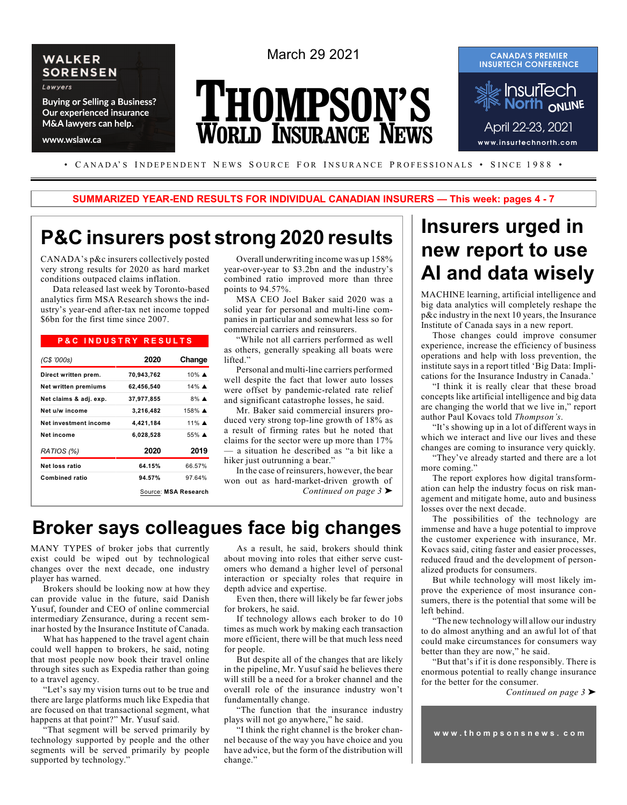

www.wslaw.ca

March 29 2021

# **THOMPSON'S WORLD INSURANCE NEWS**



• CANADA'S INDEPENDENT NEWS SOURCE FOR INSURANCE PROFESSIONALS • SINCE 1988 •

**SUMMARIZED YEAR-END RESULTS FOR INDIVIDUAL CANADIAN INSURERS — This week: pages 4 - 7**

# **P&C insurers post strong 2020 results**

CANADA's p&c insurers collectively posted very strong results for 2020 as hard market conditions outpaced claims inflation.

Data released last week by Toronto-based analytics firm MSA Research shows the industry's year-end after-tax net income topped \$6bn for the first time since 2007.

#### **P & C I N D U S T R Y R E S U L T S**

| (C\$ '000s)                 | 2020       | Change               |
|-----------------------------|------------|----------------------|
| Direct written prem.        | 70,943,762 | 10% $\triangle$      |
| <b>Net written premiums</b> | 62,456,540 | 14% $\triangle$      |
| Net claims & adj. exp.      | 37,977,855 | $8\%$ $\triangle$    |
| Net u/w income              | 3,216,482  | $158\%$ $\triangle$  |
| Net investment income       | 4,421,184  | 11% $\triangle$      |
| Net income                  | 6,028,528  | $55\%$ $\triangle$   |
| RATIOS (%)                  | 2020       | 2019                 |
| Net loss ratio              | 64.15%     | 66.57%               |
| <b>Combined ratio</b>       | 94.57%     | 97.64%               |
|                             |            | Source: MSA Research |

Overall underwriting income was up 158% year-over-year to \$3.2bn and the industry's combined ratio improved more than three points to 94.57%.

MSA CEO Joel Baker said 2020 was a solid year for personal and multi-line companies in particular and somewhat less so for commercial carriers and reinsurers.

"While not all carriers performed as well as others, generally speaking all boats were lifted."

Personal and multi-line carriers performed well despite the fact that lower auto losses were offset by pandemic-related rate relief and significant catastrophe losses, he said.

Mr. Baker said commercial insurers produced very strong top-line growth of 18% as a result of firming rates but he noted that claims for the sector were up more than 17% — a situation he described as "a bit like a hiker just outrunning a bear."

In the case of reinsurers, however, the bear won out as hard-market-driven growth of *Continued on page 3* '

# **Broker says colleagues face big changes**

MANY TYPES of broker jobs that currently exist could be wiped out by technological changes over the next decade, one industry player has warned.

Brokers should be looking now at how they can provide value in the future, said Danish Yusuf, founder and CEO of online commercial intermediary Zensurance, during a recent seminar hosted by the Insurance Institute of Canada.

What has happened to the travel agent chain could well happen to brokers, he said, noting that most people now book their travel online through sites such as Expedia rather than going to a travel agency.

"Let's say my vision turns out to be true and there are large platforms much like Expedia that are focused on that transactional segment, what happens at that point?" Mr. Yusuf said.

That segment will be served primarily by technology supported by people and the other segments will be served primarily by people supported by technology."

As a result, he said, brokers should think about moving into roles that either serve customers who demand a higher level of personal interaction or specialty roles that require in depth advice and expertise.

Even then, there will likely be far fewer jobs for brokers, he said.

If technology allows each broker to do 10 times as much work by making each transaction more efficient, there will be that much less need for people.

But despite all of the changes that are likely in the pipeline, Mr. Yusuf said he believes there will still be a need for a broker channel and the overall role of the insurance industry won't fundamentally change.

"The function that the insurance industry plays will not go anywhere," he said.

"I think the right channel is the broker channel because of the way you have choice and you have advice, but the form of the distribution will change."

# **Insurers urged in new report to use AI and data wisely**

MACHINE learning, artificial intelligence and big data analytics will completely reshape the p&c industry in the next 10 years, the Insurance Institute of Canada says in a new report.

Those changes could improve consumer experience, increase the efficiency of business operations and help with loss prevention, the institute says in a report titled 'Big Data: Implications for the Insurance Industry in Canada.'

"I think it is really clear that these broad concepts like artificial intelligence and big data are changing the world that we live in," report author Paul Kovacs told *Thompson's*.

"It's showing up in a lot of different ways in which we interact and live our lives and these changes are coming to insurance very quickly.

"They've already started and there are a lot more coming."

The report explores how digital transformation can help the industry focus on risk management and mitigate home, auto and business losses over the next decade.

The possibilities of the technology are immense and have a huge potential to improve the customer experience with insurance, Mr. Kovacs said, citing faster and easier processes, reduced fraud and the development of personalized products for consumers.

But while technology will most likely improve the experience of most insurance consumers, there is the potential that some will be left behind.

"The new technology will allow our industry to do almost anything and an awful lot of that could make circumstances for consumers way better than they are now," he said.

"But that's if it is done responsibly. There is enormous potential to really change insurance for the better for the consumer.

*Continued on page 3* '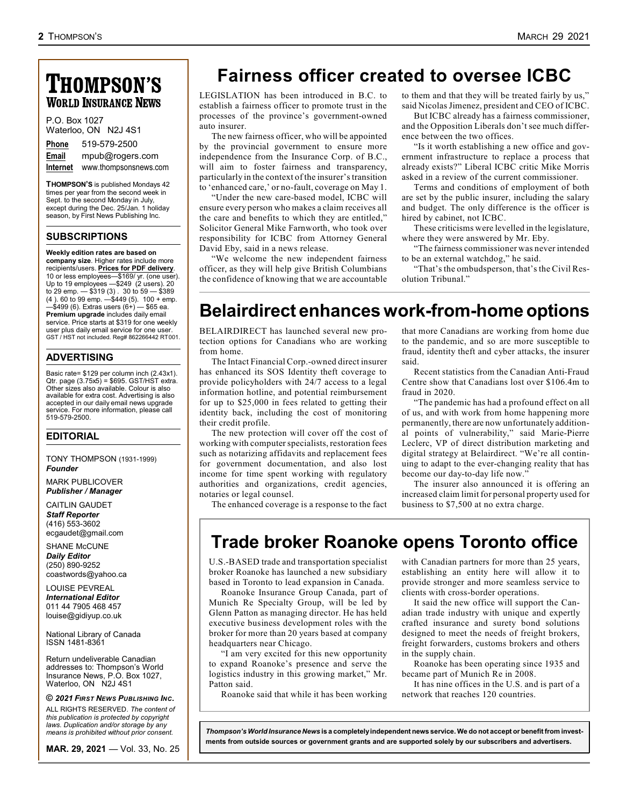# **THOMPSON'S WORLD INSURANCE NEWS**

| P.O. Box 1027 | Waterloo, ON N2J 4S1  |
|---------------|-----------------------|
| <b>Phone</b>  | 519-579-2500          |
| Email         | mpub@rogers.com       |
| Internet      | www.thompsonsnews.com |

**THOMPSON'S** is published Mondays 42 times per year from the second week in Sept. to the second Monday in July, except during the Dec. 25/Jan. 1 holiday season, by First News Publishing Inc.

#### **SUBSCRIPTIONS**

#### **Weekly edition rates are based on**

**company size**. Higher rates include more recipients/users. **Prices for PDF delivery**. 10 or less employees—\$169/ yr. (one user). Up to 19 employees —\$249 (2 users). 20 to 29 emp. — \$319 (3) . 30 to 59 — \$389 (4 ). 60 to 99 emp. —\$449 (5). 100 + emp.  $\frac{1}{2}$ ,  $\frac{1}{2}$ ,  $\frac{1}{2}$ ,  $\frac{1}{2}$ ,  $\frac{1}{2}$ ,  $\frac{1}{2}$ ,  $\frac{1}{2}$ ,  $\frac{1}{2}$ ,  $\frac{1}{2}$ ,  $\frac{1}{2}$ ,  $\frac{1}{2}$ ,  $\frac{1}{2}$ ,  $\frac{1}{2}$ ,  $\frac{1}{2}$ ,  $\frac{1}{2}$ ,  $\frac{1}{2}$ ,  $\frac{1}{2}$ ,  $\frac{1}{2}$ ,  $\frac{1}{2}$ ,  $\frac{1}{2}$ , **Premium upgrade** includes daily email service. Price starts at \$319 for one weekly user plus daily email service for one user. GST / HST not included. Reg# 862266442 RT001.

#### **ADVERTISING**

Basic rate= \$129 per column inch (2.43x1). Qtr. page (3.75x5) = \$695. GST/HST extra. Other sizes also available. Colour is also available for extra cost. Advertising is also accepted in our daily email news upgrade service. For more information, please call 519-579-2500.

#### **EDITORIAL**

TONY THOMPSON (1931-1999) *Founder*

MARK PUBLICOVER *Publisher / Manager*

CAITLIN GAUDET *Staff Reporter* (416) 553-3602 ecgaudet@gmail.com

SHANE McCUNE *Daily Editor* (250) 890-9252 coastwords@yahoo.ca

LOUISE PEVREAL *International Editor* 011 44 7905 468 457 louise@gidiyup.co.uk

National Library of Canada ISSN 1481-8361

Return undeliverable Canadian addresses to: Thompson's World Insurance News, P.O. Box 1027, Waterloo, ON N2J 4S1

#### **©** *2021 FIRST NEWS PUBLISHING INC.*

ALL RIGHTS RESERVED*. The content of this publication is protected by copyright laws. Duplication and/or storage by any means is prohibited without prior consent.* 

**MAR. 29, 2021** — Vol. 33, No. 25

# **Fairness officer created to oversee ICBC**

LEGISLATION has been introduced in B.C. to establish a fairness officer to promote trust in the processes of the province's government-owned auto insurer.

The new fairness officer, who will be appointed by the provincial government to ensure more independence from the Insurance Corp. of B.C., will aim to foster fairness and transparency, particularly in the context of the insurer's transition to 'enhanced care,' or no-fault, coverage on May 1.

"Under the new care-based model, ICBC will ensure every person who makes a claim receives all the care and benefits to which they are entitled," Solicitor General Mike Farnworth, who took over responsibility for ICBC from Attorney General David Eby, said in a news release.

"We welcome the new independent fairness officer, as they will help give British Columbians the confidence of knowing that we are accountable

to them and that they will be treated fairly by us," said Nicolas Jimenez, president and CEO of ICBC.

But ICBC already has a fairness commissioner, and the Opposition Liberals don't see much difference between the two offices.

"Is it worth establishing a new office and government infrastructure to replace a process that already exists?" Liberal ICBC critic Mike Morris asked in a review of the current commissioner.

Terms and conditions of employment of both are set by the public insurer, including the salary and budget. The only difference is the officer is hired by cabinet, not ICBC.

These criticisms were levelled in the legislature, where they were answered by Mr. Eby.

"The fairness commissioner was never intended to be an external watchdog," he said.

"That's the ombudsperson, that's the Civil Resolution Tribunal."

# **Belairdirect enhances work-from-home options**

BELAIRDIRECT has launched several new protection options for Canadians who are working from home.

The Intact Financial Corp.-owned direct insurer has enhanced its SOS Identity theft coverage to provide policyholders with 24/7 access to a legal information hotline, and potential reimbursement for up to \$25,000 in fees related to getting their identity back, including the cost of monitoring their credit profile.

The new protection will cover off the cost of working with computer specialists, restoration fees such as notarizing affidavits and replacement fees for government documentation, and also lost income for time spent working with regulatory authorities and organizations, credit agencies, notaries or legal counsel.

The enhanced coverage is a response to the fact

that more Canadians are working from home due to the pandemic, and so are more susceptible to fraud, identity theft and cyber attacks, the insurer said.

Recent statistics from the Canadian Anti-Fraud Centre show that Canadians lost over \$106.4m to fraud in 2020.

"The pandemic has had a profound effect on all of us, and with work from home happening more permanently, there are now unfortunately additional points of vulnerability," said Marie-Pierre Leclerc, VP of direct distribution marketing and digital strategy at Belairdirect. "We're all continuing to adapt to the ever-changing reality that has become our day-to-day life now."

The insurer also announced it is offering an increased claim limit for personal property used for business to \$7,500 at no extra charge.

# **Trade broker Roanoke opens Toronto office**

U.S.-BASED trade and transportation specialist broker Roanoke has launched a new subsidiary based in Toronto to lead expansion in Canada.

Roanoke Insurance Group Canada, part of Munich Re Specialty Group, will be led by Glenn Patton as managing director. He has held executive business development roles with the broker for more than 20 years based at company headquarters near Chicago.

"I am very excited for this new opportunity to expand Roanoke's presence and serve the logistics industry in this growing market," Mr. Patton said.

Roanoke said that while it has been working

with Canadian partners for more than 25 years, establishing an entity here will allow it to provide stronger and more seamless service to clients with cross-border operations.

It said the new office will support the Canadian trade industry with unique and expertly crafted insurance and surety bond solutions designed to meet the needs of freight brokers, freight forwarders, customs brokers and others in the supply chain.

Roanoke has been operating since 1935 and became part of Munich Re in 2008.

It has nine offices in the U.S. and is part of a network that reaches 120 countries.

*Thompson's World Insurance News* **is a completely independent news service. We do not accept or benefit from investments from outside sources or government grants and are supported solely by our subscribers and advertisers.**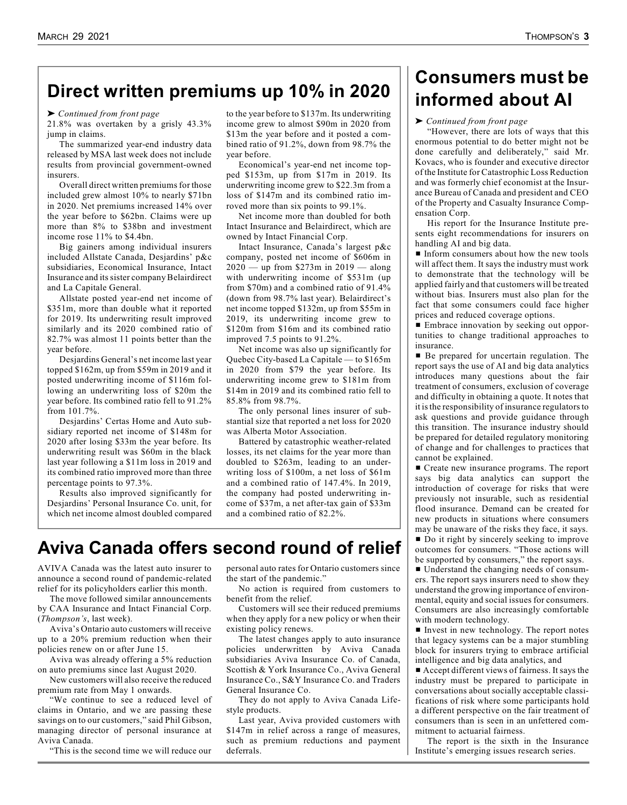# **Direct written premiums up 10% in 2020**

' *Continued from front page* 

21.8% was overtaken by a grisly 43.3% jump in claims.

The summarized year-end industry data released by MSA last week does not include results from provincial government-owned insurers.

Overall direct written premiums for those included grew almost 10% to nearly \$71bn in 2020. Net premiums increased 14% over the year before to \$62bn. Claims were up more than 8% to \$38bn and investment income rose 11% to \$4.4bn.

Big gainers among individual insurers included Allstate Canada, Desjardins' p&c subsidiaries, Economical Insurance, Intact Insurance and its sister company Belairdirect and La Capitale General.

Allstate posted year-end net income of \$351m, more than double what it reported for 2019. Its underwriting result improved similarly and its 2020 combined ratio of 82.7% was almost 11 points better than the year before.

Desjardins General's net income last year topped \$162m, up from \$59m in 2019 and it posted underwriting income of \$116m following an underwriting loss of \$20m the year before. Its combined ratio fell to 91.2% from 101.7%.

Desjardins' Certas Home and Auto subsidiary reported net income of \$148m for 2020 after losing \$33m the year before. Its underwriting result was \$60m in the black last year following a \$11m loss in 2019 and its combined ratio improved more than three percentage points to 97.3%.

Results also improved significantly for Desjardins' Personal Insurance Co. unit, for which net income almost doubled compared to the year before to \$137m. Its underwriting income grew to almost \$90m in 2020 from \$13m the year before and it posted a combined ratio of 91.2%, down from 98.7% the year before.

Economical's year-end net income topped \$153m, up from \$17m in 2019. Its underwriting income grew to \$22.3m from a loss of \$147m and its combined ratio imroved more than six points to 99.1%.

Net income more than doubled for both Intact Insurance and Belairdirect, which are owned by Intact Financial Corp.

Intact Insurance, Canada's largest p&c company, posted net income of \$606m in  $2020 -$  up from \$273m in 2019 — along with underwriting income of \$531m (up from \$70m) and a combined ratio of 91.4% (down from 98.7% last year). Belairdirect's net income topped \$132m, up from \$55m in 2019, its underwriting income grew to \$120m from \$16m and its combined ratio improved 7.5 points to 91.2%.

Net income was also up significantly for Quebec City-based La Capitale — to \$165m in 2020 from \$79 the year before. Its underwriting income grew to \$181m from \$14m in 2019 and its combined ratio fell to 85.8% from 98.7%.

The only personal lines insurer of substantial size that reported a net loss for 2020 was Alberta Motor Association.

Battered by catastrophic weather-related losses, its net claims for the year more than doubled to \$263m, leading to an underwriting loss of \$100m, a net loss of \$61m and a combined ratio of 147.4%. In 2019, the company had posted underwriting income of \$37m, a net after-tax gain of \$33m and a combined ratio of 82.2%.

# **Aviva Canada offers second round of relief**

AVIVA Canada was the latest auto insurer to announce a second round of pandemic-related relief for its policyholders earlier this month.

The move followed similar announcements by CAA Insurance and Intact Financial Corp. (*Thompson's*, last week).

Aviva's Ontario auto customers will receive up to a 20% premium reduction when their policies renew on or after June 15.

Aviva was already offering a 5% reduction on auto premiums since last August 2020.

New customers will also receive the reduced premium rate from May 1 onwards.

"We continue to see a reduced level of claims in Ontario, and we are passing these savings on to our customers," said Phil Gibson, managing director of personal insurance at Aviva Canada.

"This is the second time we will reduce our

personal auto rates for Ontario customers since the start of the pandemic."

No action is required from customers to benefit from the relief.

Customers will see their reduced premiums when they apply for a new policy or when their existing policy renews.

The latest changes apply to auto insurance policies underwritten by Aviva Canada subsidiaries Aviva Insurance Co. of Canada, Scottish & York Insurance Co., Aviva General Insurance Co., S&Y Insurance Co. and Traders General Insurance Co.

They do not apply to Aviva Canada Lifestyle products.

Last year, Aviva provided customers with \$147m in relief across a range of measures, such as premium reductions and payment deferrals.

# **Consumers must be informed about AI**

#### ' *Continued from front page*

"However, there are lots of ways that this enormous potential to do better might not be done carefully and deliberately," said Mr. Kovacs, who is founder and executive director of the Institute for Catastrophic Loss Reduction and was formerly chief economist at the Insurance Bureau of Canada and president and CEO of the Property and Casualty Insurance Compensation Corp.

His report for the Insurance Institute presents eight recommendations for insurers on handling AI and big data.

**Inform consumers about how the new tools** will affect them. It says the industry must work to demonstrate that the technology will be applied fairly and that customers will be treated without bias. Insurers must also plan for the fact that some consumers could face higher prices and reduced coverage options.

**Embrace innovation by seeking out oppor**tunities to change traditional approaches to insurance.

■ Be prepared for uncertain regulation. The report says the use of AI and big data analytics introduces many questions about the fair treatment of consumers, exclusion of coverage and difficulty in obtaining a quote. It notes that it is the responsibility of insurance regulators to ask questions and provide guidance through this transition. The insurance industry should be prepared for detailed regulatory monitoring of change and for challenges to practices that cannot be explained.

■ Create new insurance programs. The report says big data analytics can support the introduction of coverage for risks that were previously not insurable, such as residential flood insurance. Demand can be created for new products in situations where consumers may be unaware of the risks they face, it says.

■ Do it right by sincerely seeking to improve outcomes for consumers. "Those actions will be supported by consumers," the report says.

 $\blacksquare$  Understand the changing needs of consumers. The report says insurers need to show they understand the growing importance of environmental, equity and social issues for consumers. Consumers are also increasingly comfortable with modern technology.

 $\blacksquare$  Invest in new technology. The report notes that legacy systems can be a major stumbling block for insurers trying to embrace artificial intelligence and big data analytics, and

 $\blacksquare$  Accept different views of fairness. It says the industry must be prepared to participate in conversations about socially acceptable classifications of risk where some participants hold a different perspective on the fair treatment of consumers than is seen in an unfettered commitment to actuarial fairness.

The report is the sixth in the Insurance Institute's emerging issues research series.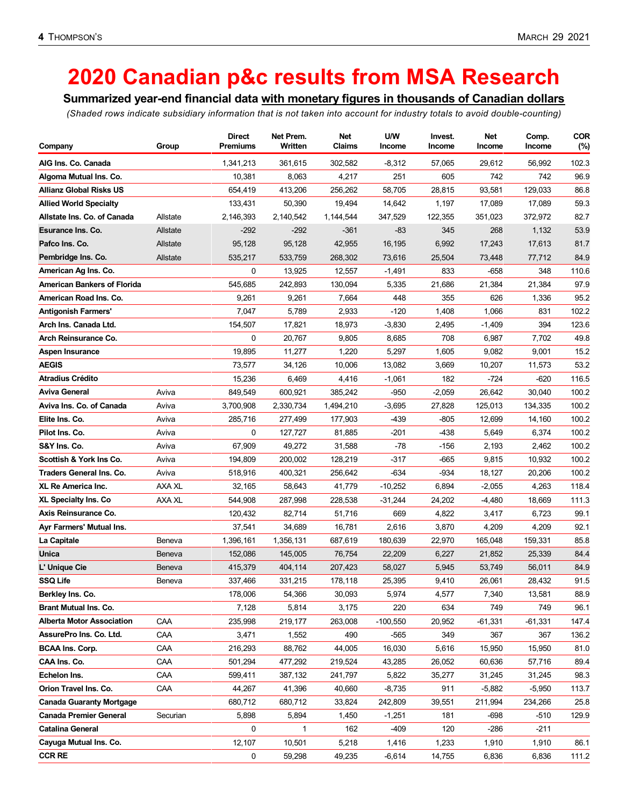# **2020 Canadian p&c results from MSA Research**

**Summarized year-end financial data with monetary figures in thousands of Canadian dollars**

*(Shaded rows indicate subsidiary information that is not taken into account for industry totals to avoid double-counting)*

|                                    |          | Direct          | Net Prem. | Net       | U/W        | Invest.  | Net       | Comp.    | <b>COR</b> |
|------------------------------------|----------|-----------------|-----------|-----------|------------|----------|-----------|----------|------------|
| Company                            | Group    | <b>Premiums</b> | Written   | Claims    | Income     | Income   | Income    | Income   | (%)        |
| AIG Ins. Co. Canada                |          | 1,341,213       | 361,615   | 302,582   | $-8,312$   | 57,065   | 29,612    | 56,992   | 102.3      |
| Algoma Mutual Ins. Co.             |          | 10,381          | 8,063     | 4,217     | 251        | 605      | 742       | 742      | 96.9       |
| <b>Allianz Global Risks US</b>     |          | 654,419         | 413,206   | 256,262   | 58,705     | 28,815   | 93,581    | 129,033  | 86.8       |
| <b>Allied World Specialty</b>      |          | 133,431         | 50,390    | 19,494    | 14,642     | 1,197    | 17,089    | 17,089   | 59.3       |
| Allstate Ins. Co. of Canada        | Allstate | 2,146,393       | 2,140,542 | 1,144,544 | 347,529    | 122,355  | 351,023   | 372,972  | 82.7       |
| Esurance Ins. Co.                  | Allstate | $-292$          | $-292$    | $-361$    | -83        | 345      | 268       | 1,132    | 53.9       |
| Pafco Ins. Co.                     | Allstate | 95,128          | 95,128    | 42,955    | 16,195     | 6,992    | 17,243    | 17,613   | 81.7       |
| Pembridge Ins. Co.                 | Allstate | 535,217         | 533,759   | 268,302   | 73,616     | 25,504   | 73,448    | 77,712   | 84.9       |
| American Ag Ins. Co.               |          | 0               | 13,925    | 12,557    | $-1,491$   | 833      | $-658$    | 348      | 110.6      |
| <b>American Bankers of Florida</b> |          | 545,685         | 242,893   | 130,094   | 5,335      | 21,686   | 21,384    | 21,384   | 97.9       |
| American Road Ins. Co.             |          | 9,261           | 9,261     | 7,664     | 448        | 355      | 626       | 1,336    | 95.2       |
| <b>Antigonish Farmers'</b>         |          | 7,047           | 5,789     | 2,933     | $-120$     | 1,408    | 1,066     | 831      | 102.2      |
| Arch Ins. Canada Ltd.              |          | 154,507         | 17,821    | 18,973    | $-3,830$   | 2,495    | $-1,409$  | 394      | 123.6      |
| Arch Reinsurance Co.               |          | 0               | 20,767    | 9,805     | 8,685      | 708      | 6,987     | 7,702    | 49.8       |
| Aspen Insurance                    |          | 19,895          | 11,277    | 1,220     | 5,297      | 1,605    | 9,082     | 9,001    | 15.2       |
| <b>AEGIS</b>                       |          | 73,577          | 34,126    | 10,006    | 13,082     | 3,669    | 10,207    | 11,573   | 53.2       |
| <b>Atradius Crédito</b>            |          | 15,236          | 6,469     | 4,416     | $-1,061$   | 182      | $-724$    | -620     | 116.5      |
| Aviva General                      | Aviva    | 849,549         | 600,921   | 385,242   | -950       | $-2,059$ | 26,642    | 30,040   | 100.2      |
| Aviva Ins. Co. of Canada           | Aviva    | 3,700,908       | 2,330,734 | 1,494,210 | $-3,695$   | 27,828   | 125,013   | 134,335  | 100.2      |
| Elite Ins. Co.                     | Aviva    | 285,716         | 277,499   | 177,903   | -439       | $-805$   | 12,699    | 14,160   | 100.2      |
| Pilot Ins. Co.                     | Aviva    | 0               | 127,727   | 81,885    | $-201$     | $-438$   | 5,649     | 6,374    | 100.2      |
| S&Y Ins. Co.                       | Aviva    | 67,909          | 49,272    | 31,588    | $-78$      | $-156$   | 2,193     | 2,462    | 100.2      |
| Scottish & York Ins Co.            | Aviva    | 194,809         | 200,002   | 128,219   | $-317$     | $-665$   | 9,815     | 10,932   | 100.2      |
| Traders General Ins. Co.           | Aviva    | 518,916         | 400,321   | 256,642   | $-634$     | $-934$   | 18,127    | 20,206   | 100.2      |
| <b>XL Re America Inc.</b>          | AXA XL   | 32,165          | 58,643    | 41,779    | $-10,252$  | 6,894    | $-2,055$  | 4,263    | 118.4      |
| <b>XL Specialty Ins. Co</b>        | AXA XL   | 544,908         | 287,998   | 228,538   | $-31,244$  | 24,202   | -4,480    | 18,669   | 111.3      |
| Axis Reinsurance Co.               |          | 120,432         | 82,714    | 51,716    | 669        | 4,822    | 3,417     | 6,723    | 99.1       |
| Ayr Farmers' Mutual Ins.           |          | 37,541          | 34,689    | 16,781    | 2,616      | 3,870    | 4,209     | 4,209    | 92.1       |
| La Capitale                        | Beneva   | 1,396,161       | 1,356,131 | 687,619   | 180,639    | 22,970   | 165,048   | 159,331  | 85.8       |
| Unica                              | Beneva   | 152,086         | 145,005   | 76,754    | 22,209     | 6,227    | 21,852    | 25,339   | 84.4       |
| L' Unique Cie                      | Beneva   | 415,379         | 404,114   | 207,423   | 58,027     | 5,945    | 53,749    | 56,011   | 84.9       |
| <b>SSQ Life</b>                    | Beneva   | 337,466         | 331,215   | 178,118   | 25,395     | 9,410    | 26,061    | 28,432   | 91.5       |
| Berkley Ins. Co.                   |          | 178,006         | 54,366    | 30,093    | 5,974      | 4,577    | 7,340     | 13,581   | 88.9       |
| <b>Brant Mutual Ins. Co.</b>       |          | 7,128           | 5,814     | 3,175     | 220        | 634      | 749       | 749      | 96.1       |
| <b>Alberta Motor Association</b>   | CAA      | 235,998         | 219,177   | 263,008   | $-100,550$ | 20,952   | $-61,331$ | -61,331  | 147.4      |
| AssurePro Ins. Co. Ltd.            | CAA      | 3,471           | 1,552     | 490       | $-565$     | 349      | 367       | 367      | 136.2      |
| <b>BCAA Ins. Corp.</b>             | CAA      | 216,293         | 88,762    | 44,005    | 16,030     | 5,616    | 15,950    | 15,950   | 81.0       |
| CAA Ins. Co.                       | CAA      | 501,294         | 477,292   | 219,524   | 43,285     | 26,052   | 60,636    | 57,716   | 89.4       |
| Echelon Ins.                       | CAA      | 599,411         | 387,132   | 241,797   | 5,822      | 35,277   | 31,245    | 31,245   | 98.3       |
| Orion Travel Ins. Co.              | CAA      | 44,267          | 41,396    | 40,660    | $-8,735$   | 911      | $-5,882$  | $-5,950$ | 113.7      |
| <b>Canada Guaranty Mortgage</b>    |          | 680,712         | 680,712   | 33,824    | 242,809    | 39,551   | 211,994   | 234,266  | 25.8       |
| <b>Canada Premier General</b>      | Securian | 5,898           | 5,894     | 1,450     | $-1,251$   | 181      | -698      | $-510$   | 129.9      |
| <b>Catalina General</b>            |          | 0               | 1         | 162       | -409       | 120      | $-286$    | $-211$   |            |
| Cayuga Mutual Ins. Co.             |          | 12,107          | 10,501    | 5,218     | 1,416      | 1,233    | 1,910     | 1,910    | 86.1       |
| <b>CCR RE</b>                      |          | 0               | 59,298    | 49,235    | $-6,614$   | 14,755   | 6,836     | 6,836    | 111.2      |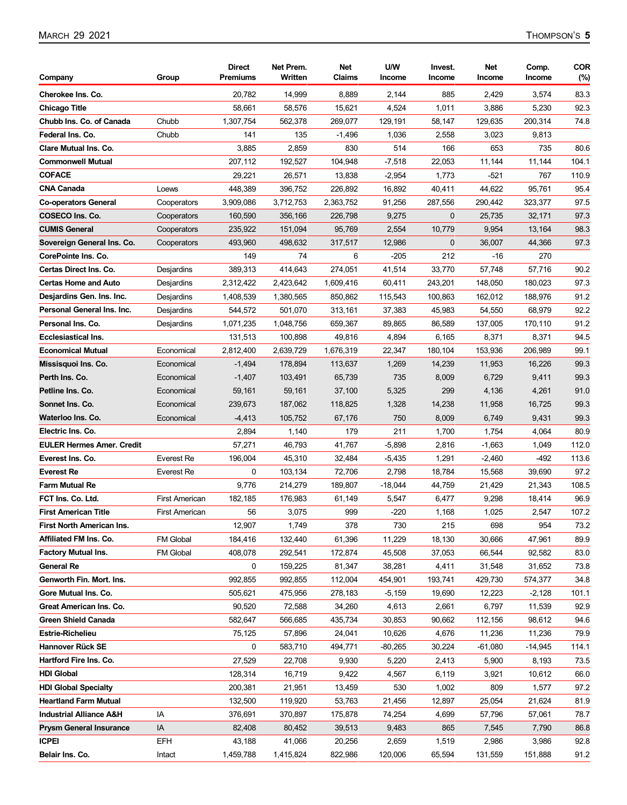| Company                                        | Group                 | <b>Direct</b><br><b>Premiums</b> | Net Prem.<br>Written | Net<br>Claims     | U/W<br><b>Income</b> | Invest.<br>Income       | Net<br>Income   | Comp.<br>Income | <b>COR</b><br>(%) |
|------------------------------------------------|-----------------------|----------------------------------|----------------------|-------------------|----------------------|-------------------------|-----------------|-----------------|-------------------|
| Cherokee Ins. Co.                              |                       | 20,782                           | 14,999               | 8,889             | 2,144                | 885                     | 2,429           | 3,574           | 83.3              |
| <b>Chicago Title</b>                           |                       | 58,661                           | 58,576               | 15,621            | 4,524                | 1,011                   | 3,886           | 5,230           | 92.3              |
| Chubb Ins. Co. of Canada                       | Chubb                 | 1,307,754                        | 562,378              | 269,077           | 129,191              | 58,147                  | 129,635         | 200,314         | 74.8              |
| Federal Ins. Co.                               | Chubb                 | 141                              | 135                  | $-1,496$          | 1,036                | 2,558                   | 3,023           | 9,813           |                   |
| <b>Clare Mutual Ins. Co.</b>                   |                       | 3,885                            | 2,859                | 830               | 514                  | 166                     | 653             | 735             | 80.6              |
| <b>Commonwell Mutual</b>                       |                       |                                  | 192,527              | 104,948           | $-7,518$             | 22,053                  | 11,144          | 11,144          | 104.1             |
| <b>COFACE</b>                                  |                       | 207,112<br>29,221                | 26,571               | 13,838            | $-2,954$             | 1,773                   | -521            | 767             | 110.9             |
| <b>CNA Canada</b>                              | Loews                 | 448,389                          | 396,752              | 226,892           | 16,892               | 40,411                  | 44,622          | 95,761          | 95.4              |
|                                                |                       |                                  |                      |                   |                      |                         | 290,442         |                 |                   |
| <b>Co-operators General</b><br>COSECO Ins. Co. | Cooperators           | 3,909,086                        | 3,712,753            | 2,363,752         | 91,256               | 287,556<br>$\mathbf{0}$ |                 | 323,377         | 97.5              |
| <b>CUMIS General</b>                           | Cooperators           | 160,590<br>235,922               | 356,166              | 226,798<br>95,769 | 9,275<br>2,554       | 10,779                  | 25,735<br>9,954 | 32,171          | 97.3<br>98.3      |
|                                                | Cooperators           |                                  | 151,094              |                   |                      |                         |                 | 13,164          | 97.3              |
| Sovereign General Ins. Co.                     | Cooperators           | 493,960                          | 498,632              | 317,517           | 12,986               | $\mathbf{0}$            | 36,007          | 44,366          |                   |
| CorePointe Ins. Co.                            |                       | 149                              | 74                   | 6                 | -205                 | 212                     | -16             | 270             |                   |
| <b>Certas Direct Ins. Co.</b>                  | Desjardins            | 389,313                          | 414,643              | 274,051           | 41,514               | 33,770                  | 57,748          | 57,716          | 90.2              |
| <b>Certas Home and Auto</b>                    | Desjardins            | 2,312,422                        | 2,423,642            | 1,609,416         | 60,411               | 243,201                 | 148,050         | 180,023         | 97.3              |
| Desjardins Gen. Ins. Inc.                      | Desjardins            | 1,408,539                        | 1,380,565            | 850,862           | 115,543              | 100.863                 | 162,012         | 188,976         | 91.2              |
| Personal General Ins. Inc.                     | Desjardins            | 544,572                          | 501,070              | 313,161           | 37,383               | 45,983                  | 54,550          | 68,979          | 92.2              |
| Personal Ins. Co.                              | Desjardins            | 1,071,235                        | 1,048,756            | 659,367           | 89,865               | 86,589                  | 137,005         | 170,110         | 91.2              |
| <b>Ecclesiastical Ins.</b>                     |                       | 131,513                          | 100,898              | 49,816            | 4,894                | 6,165                   | 8,371           | 8,371           | 94.5              |
| <b>Economical Mutual</b>                       | Economical            | 2,812,400                        | 2,639,729            | 1,676,319         | 22,347               | 180,104                 | 153,936         | 206,989         | 99.1              |
| Missisquoi Ins. Co.                            | Economical            | $-1,494$                         | 178,894              | 113,637           | 1,269                | 14,239                  | 11,953          | 16,226          | 99.3              |
| Perth Ins. Co.                                 | Economical            | $-1,407$                         | 103,491              | 65,739            | 735                  | 8,009                   | 6,729           | 9,411           | 99.3              |
| Petline Ins. Co.                               | Economical            | 59,161                           | 59,161               | 37,100            | 5,325                | 299                     | 4,136           | 4,261           | 91.0              |
| Sonnet Ins. Co.                                | Economical            | 239,673                          | 187,062              | 118,825           | 1,328                | 14,238                  | 11,958          | 16,725          | 99.3              |
| Waterloo Ins. Co.                              | Economical            | -4,413                           | 105,752              | 67,176            | 750                  | 8,009                   | 6,749           | 9,431           | 99.3              |
| Electric Ins. Co.                              |                       | 2,894                            | 1,140                | 179               | 211                  | 1,700                   | 1,754           | 4,064           | 80.9              |
| <b>EULER Hermes Amer. Credit</b>               |                       | 57,271                           | 46,793               | 41,767            | $-5,898$             | 2,816                   | $-1,663$        | 1,049           | 112.0             |
| Everest Ins. Co.                               | Everest Re            | 196,004                          | 45,310               | 32,484            | -5,435               | 1,291                   | $-2,460$        | -492            | 113.6             |
| <b>Everest Re</b>                              | Everest Re            | 0                                | 103,134              | 72,706            | 2,798                | 18,784                  | 15,568          | 39,690          | 97.2              |
| <b>Farm Mutual Re</b>                          |                       | 9,776                            | 214,279              | 189,807           | $-18,044$            | 44,759                  | 21,429          | 21,343          | 108.5             |
| FCT Ins. Co. Ltd.                              | <b>First American</b> | 182.185                          | 176,983              | 61,149            | 5,547                | 6,477                   | 9,298           | 18,414          | 96.9              |
| <b>First American Title</b>                    | <b>First American</b> | 56                               | 3,075                | 999               | $-220$               | 1,168                   | 1,025           | 2,547           | 107.2             |
| <b>First North American Ins.</b>               |                       | 12,907                           | 1,749                | 378               | 730                  | 215                     | 698             | 954             | 73.2              |
| Affiliated FM Ins. Co.                         | FM Global             | 184,416                          | 132,440              | 61,396            | 11,229               | 18,130                  | 30,666          | 47,961          | 89.9              |
| <b>Factory Mutual Ins.</b>                     | FM Global             | 408,078                          | 292,541              | 172,874           | 45,508               | 37,053                  | 66,544          | 92,582          | 83.0              |
| <b>General Re</b>                              |                       | 0                                | 159,225              | 81,347            | 38,281               | 4,411                   | 31,548          | 31,652          | 73.8              |
| Genworth Fin. Mort. Ins.                       |                       | 992,855                          | 992,855              | 112,004           | 454,901              | 193,741                 | 429,730         | 574,377         | 34.8              |
| Gore Mutual Ins. Co.                           |                       | 505,621                          | 475,956              | 278,183           | $-5,159$             | 19,690                  | 12,223          | $-2,128$        | 101.1             |
| Great American Ins. Co.                        |                       | 90,520                           | 72,588               | 34,260            | 4,613                | 2,661                   | 6,797           | 11,539          | 92.9              |
| <b>Green Shield Canada</b>                     |                       | 582,647                          | 566,685              | 435,734           | 30,853               | 90,662                  | 112,156         | 98,612          | 94.6              |
| <b>Estrie-Richelieu</b>                        |                       | 75,125                           | 57,896               | 24,041            | 10,626               | 4,676                   | 11,236          | 11,236          | 79.9              |
| Hannover Rück SE                               |                       | 0                                | 583,710              | 494,771           | $-80,265$            | 30,224                  | $-61,080$       | $-14,945$       | 114.1             |
| Hartford Fire Ins. Co.                         |                       | 27,529                           | 22,708               | 9,930             | 5,220                | 2,413                   | 5,900           | 8,193           | 73.5              |
| <b>HDI Global</b>                              |                       | 128,314                          | 16,719               | 9,422             | 4,567                | 6,119                   | 3,921           | 10,612          | 66.0              |
| <b>HDI Global Specialty</b>                    |                       | 200,381                          | 21,951               | 13,459            | 530                  | 1,002                   | 809             | 1,577           | 97.2              |
| <b>Heartland Farm Mutual</b>                   |                       | 132,500                          | 119,920              | 53,763            | 21,456               | 12,897                  | 25,054          | 21,624          | 81.9              |
| <b>Industrial Alliance A&amp;H</b>             | IA                    | 376,691                          | 370,897              | 175,878           | 74,254               | 4,699                   | 57,796          | 57,061          | 78.7              |
| <b>Prysm General Insurance</b>                 | IA                    | 82,408                           | 80,452               | 39,513            | 9,483                | 865                     | 7,545           | 7,790           | 86.8              |
| <b>ICPEI</b>                                   | <b>EFH</b>            | 43,188                           | 41,066               | 20,256            | 2,659                | 1,519                   | 2,986           | 3,986           | 92.8              |
| Belair Ins. Co.                                | Intact                | 1,459,788                        | 1,415,824            | 822,986           | 120,006              | 65,594                  | 131,559         | 151,888         | 91.2              |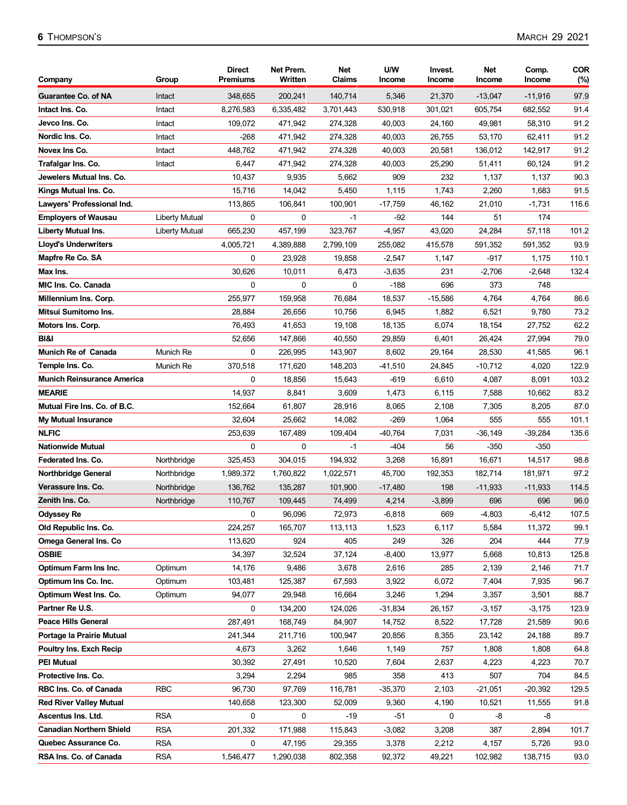| 97.9<br><b>Guarantee Co. of NA</b><br>348,655<br>200,241<br>140,714<br>5,346<br>21,370<br>$-13,047$<br>$-11,916$<br>Intact<br>91.4<br>8,276,583<br>530,918<br>Intact Ins. Co.<br>Intact<br>6,335,482<br>3,701,443<br>301,021<br>605,754<br>682,552<br>91.2<br>109,072<br>471,942<br>40,003<br>58,310<br>Jevco Ins. Co.<br>Intact<br>274,328<br>24,160<br>49,981<br>Nordic Ins. Co.<br>91.2<br>Intact<br>$-268$<br>471,942<br>274,328<br>40,003<br>26,755<br>53,170<br>62,411<br>Novex Ins Co.<br>91.2<br>448,762<br>471,942<br>40,003<br>20,581<br>136,012<br>142,917<br>Intact<br>274,328<br>91.2<br>6,447<br>471,942<br>25,290<br>Trafalgar Ins. Co.<br>Intact<br>274,328<br>40,003<br>51,411<br>60,124<br>Jewelers Mutual Ins. Co.<br>10,437<br>9,935<br>5,662<br>909<br>232<br>1,137<br>90.3<br>1,137<br>1,743<br>91.5<br>Kings Mutual Ins. Co.<br>15,716<br>14,042<br>5,450<br>1,115<br>2,260<br>1,683<br>113,865<br>106,841<br>100,901<br>$-17,759$<br>46,162<br>116.6<br>Lawyers' Professional Ind.<br>21,010<br>$-1,731$<br><b>Employers of Wausau</b><br><b>Liberty Mutual</b><br>0<br>0<br>-92<br>144<br>51<br>174<br>-1<br>101.2<br><b>Liberty Mutual Ins.</b><br>665,230<br>457,199<br>323,767<br>$-4,957$<br>43,020<br>24,284<br>57,118<br>Liberty Mutual<br>93.9<br><b>Lloyd's Underwriters</b><br>4,005,721<br>4,389,888<br>2,799,109<br>255,082<br>415,578<br>591,352<br>591,352<br>Mapfre Re Co. SA<br>0<br>23,928<br>19,858<br>$-2,547$<br>-917<br>1,175<br>110.1<br>1,147<br>30,626<br>Max Ins.<br>10,011<br>6,473<br>$-3,635$<br>231<br>$-2,706$<br>$-2,648$<br>132.4<br>696<br>MIC Ins. Co. Canada<br>0<br>0<br>0<br>$-188$<br>373<br>748<br>255,977<br>159,958<br>76,684<br>$-15,586$<br>86.6<br>Millennium Ins. Corp.<br>18,537<br>4,764<br>4,764<br>Mitsui Sumitomo Ins.<br>73.2<br>28,884<br>26,656<br>10,756<br>6,945<br>1,882<br>6,521<br>9,780<br>62.2<br>76,493<br>41,653<br>18,135<br>6,074<br>18,154<br>27,752<br>Motors Ins. Corp.<br>19,108<br>79.0<br>BI&I<br>52,656<br>147,866<br>40,550<br>29,859<br>27,994<br>6,401<br>26,424<br>0<br>96.1<br>Munich Re of Canada<br>Munich Re<br>226,995<br>8,602<br>28,530<br>41,585<br>143,907<br>29,164<br>370,518<br>171,620<br>$-41,510$<br>24,845<br>4,020<br>122.9<br>Temple Ins. Co.<br>Munich Re<br>148,203<br>$-10,712$<br>0<br>18,856<br>15,643<br>103.2<br><b>Munich Reinsurance America</b><br>-619<br>6,610<br>4,087<br>8,091<br><b>MEARIE</b><br>14,937<br>8,841<br>3,609<br>1,473<br>6,115<br>7,588<br>83.2<br>10,662<br>Mutual Fire Ins. Co. of B.C.<br>87.0<br>152,664<br>61,807<br>28,916<br>8,065<br>2,108<br>7,305<br>8,205<br>32,604<br>25,662<br>14,082<br>$-269$<br>1,064<br>555<br>101.1<br><b>My Mutual Insurance</b><br>555<br><b>NLFIC</b><br>253,639<br>$-40,764$<br>7,031<br>$-36,149$<br>$-39,284$<br>135.6<br>167,489<br>109,404<br>0<br>$-404$<br>56<br><b>Nationwide Mutual</b><br>0<br>$-1$<br>$-350$<br>-350<br>Federated Ins. Co.<br>325,453<br>304,015<br>3,268<br>16,891<br>16,671<br>98.8<br>Northbridge<br>194,932<br>14,517<br>97.2<br><b>Northbridge General</b><br>1,989,372<br>45,700<br>192,353<br>182,714<br>181,971<br>Northbridge<br>1.760.822<br>1,022,571<br>114.5<br>Verassure Ins. Co.<br>Northbridge<br>135,287<br>101,900<br>$-17,480$<br>198<br>$-11,933$<br>$-11,933$<br>136,762<br>Zenith Ins. Co.<br>Northbridge<br>4,214<br>$-3,899$<br>696<br>696<br>96.0<br>110,767<br>109,445<br>74,499<br>0<br><b>Odyssey Re</b><br>96,096<br>72,973<br>$-6,818$<br>669<br>$-4,803$<br>$-6,412$<br>Old Republic Ins. Co.<br>224,257<br>165,707<br>113,113<br>1,523<br>6,117<br>5,584<br>11,372<br>99.1<br><b>Omega General Ins. Co</b><br>113,620<br>924<br>405<br>326<br>204<br>444<br>249<br><b>OSBIE</b><br>34,397<br>32,524<br>37,124<br>$-8,400$<br>13,977<br>5,668<br>10,813<br>125.8<br>Optimum Farm Ins Inc.<br>Optimum<br>14,176<br>9,486<br>3,678<br>2,616<br>285<br>2,139<br>2,146<br>Optimum Ins Co. Inc.<br>103,481<br>125,387<br>67,593<br>3,922<br>6,072<br>7,404<br>7,935<br>Optimum<br>88.7<br>Optimum West Ins. Co.<br>94,077<br>29,948<br>16,664<br>3,246<br>1,294<br>3,357<br>3,501<br>Optimum<br>Partner Re U.S.<br>0<br>123.9<br>134,200<br>124,026<br>$-31,834$<br>26,157<br>$-3,157$<br>$-3,175$<br>Peace Hills General<br>287,491<br>168,749<br>84,907<br>8,522<br>21,589<br>90.6<br>14,752<br>17,728<br>Portage la Prairie Mutual<br>241,344<br>211,716<br>100,947<br>20,856<br>8,355<br>23,142<br>24,188<br>Poultry Ins. Exch Recip<br>4,673<br>3,262<br>1,646<br>1,149<br>757<br>1,808<br>1,808<br>64.8<br><b>PEI Mutual</b><br>30,392<br>7,604<br>2,637<br>4,223<br>4,223<br>27,491<br>10,520<br>3,294<br>985<br>358<br>413<br>507<br>84.5<br>Protective Ins. Co.<br>2,294<br>704<br>RBC Ins. Co. of Canada<br><b>RBC</b><br>96,730<br>97,769<br>116,781<br>$-35,370$<br>2,103<br>129.5<br>$-21,051$<br>$-20,392$<br><b>Red River Valley Mutual</b><br>140,658<br>123,300<br>52,009<br>9,360<br>10,521<br>11,555<br>91.8<br>4,190<br><b>RSA</b><br>0<br>Ascentus Ins. Ltd.<br>0<br>-19<br>$-51$<br>0<br>-8<br>-8<br><b>Canadian Northern Shield</b><br><b>RSA</b><br>201,332<br>171,988<br>3,208<br>387<br>115,843<br>$-3,082$<br>2,894<br>Quebec Assurance Co.<br><b>RSA</b><br>47,195<br>29,355<br>5,726<br>0<br>3,378<br>2,212<br>4,157<br><b>RSA</b><br>RSA Ins. Co. of Canada<br>1,546,477<br>1,290,038<br>92,372<br>49,221<br>138,715<br>802,358<br>102,982 | Company | Group | Direct<br><b>Premiums</b> | Net Prem.<br>Written | Net<br>Claims | U/W<br>Income | Invest.<br>Income | Net<br>Income | Comp.<br>Income | <b>COR</b><br>(%) |
|----------------------------------------------------------------------------------------------------------------------------------------------------------------------------------------------------------------------------------------------------------------------------------------------------------------------------------------------------------------------------------------------------------------------------------------------------------------------------------------------------------------------------------------------------------------------------------------------------------------------------------------------------------------------------------------------------------------------------------------------------------------------------------------------------------------------------------------------------------------------------------------------------------------------------------------------------------------------------------------------------------------------------------------------------------------------------------------------------------------------------------------------------------------------------------------------------------------------------------------------------------------------------------------------------------------------------------------------------------------------------------------------------------------------------------------------------------------------------------------------------------------------------------------------------------------------------------------------------------------------------------------------------------------------------------------------------------------------------------------------------------------------------------------------------------------------------------------------------------------------------------------------------------------------------------------------------------------------------------------------------------------------------------------------------------------------------------------------------------------------------------------------------------------------------------------------------------------------------------------------------------------------------------------------------------------------------------------------------------------------------------------------------------------------------------------------------------------------------------------------------------------------------------------------------------------------------------------------------------------------------------------------------------------------------------------------------------------------------------------------------------------------------------------------------------------------------------------------------------------------------------------------------------------------------------------------------------------------------------------------------------------------------------------------------------------------------------------------------------------------------------------------------------------------------------------------------------------------------------------------------------------------------------------------------------------------------------------------------------------------------------------------------------------------------------------------------------------------------------------------------------------------------------------------------------------------------------------------------------------------------------------------------------------------------------------------------------------------------------------------------------------------------------------------------------------------------------------------------------------------------------------------------------------------------------------------------------------------------------------------------------------------------------------------------------------------------------------------------------------------------------------------------------------------------------------------------------------------------------------------------------------------------------------------------------------------------------------------------------------------------------------------------------------------------------------------------------------------------------------------------------------------------------------------------------------------------------------------------------------------------------------------------------------------------------------------------------------------------------------------------------------------------------------------------------------------------------------------------------------------------------------------------------------------------------------------------------------------------------------------------------------------------------------------------------------------------------------------------------------------------------------------------------------------------------------------------------------------------------------------------------------------------------------------------------------------------------------------------------------------------------------------------------------------|---------|-------|---------------------------|----------------------|---------------|---------------|-------------------|---------------|-----------------|-------------------|
|                                                                                                                                                                                                                                                                                                                                                                                                                                                                                                                                                                                                                                                                                                                                                                                                                                                                                                                                                                                                                                                                                                                                                                                                                                                                                                                                                                                                                                                                                                                                                                                                                                                                                                                                                                                                                                                                                                                                                                                                                                                                                                                                                                                                                                                                                                                                                                                                                                                                                                                                                                                                                                                                                                                                                                                                                                                                                                                                                                                                                                                                                                                                                                                                                                                                                                                                                                                                                                                                                                                                                                                                                                                                                                                                                                                                                                                                                                                                                                                                                                                                                                                                                                                                                                                                                                                                                                                                                                                                                                                                                                                                                                                                                                                                                                                                                                                                                                                                                                                                                                                                                                                                                                                                                                                                                                                                                                                                                      |         |       |                           |                      |               |               |                   |               |                 |                   |
| 107.5<br>77.9<br>71.7<br>96.7<br>89.7<br>70.7<br>101.7<br>93.0<br>93.0                                                                                                                                                                                                                                                                                                                                                                                                                                                                                                                                                                                                                                                                                                                                                                                                                                                                                                                                                                                                                                                                                                                                                                                                                                                                                                                                                                                                                                                                                                                                                                                                                                                                                                                                                                                                                                                                                                                                                                                                                                                                                                                                                                                                                                                                                                                                                                                                                                                                                                                                                                                                                                                                                                                                                                                                                                                                                                                                                                                                                                                                                                                                                                                                                                                                                                                                                                                                                                                                                                                                                                                                                                                                                                                                                                                                                                                                                                                                                                                                                                                                                                                                                                                                                                                                                                                                                                                                                                                                                                                                                                                                                                                                                                                                                                                                                                                                                                                                                                                                                                                                                                                                                                                                                                                                                                                                               |         |       |                           |                      |               |               |                   |               |                 |                   |
|                                                                                                                                                                                                                                                                                                                                                                                                                                                                                                                                                                                                                                                                                                                                                                                                                                                                                                                                                                                                                                                                                                                                                                                                                                                                                                                                                                                                                                                                                                                                                                                                                                                                                                                                                                                                                                                                                                                                                                                                                                                                                                                                                                                                                                                                                                                                                                                                                                                                                                                                                                                                                                                                                                                                                                                                                                                                                                                                                                                                                                                                                                                                                                                                                                                                                                                                                                                                                                                                                                                                                                                                                                                                                                                                                                                                                                                                                                                                                                                                                                                                                                                                                                                                                                                                                                                                                                                                                                                                                                                                                                                                                                                                                                                                                                                                                                                                                                                                                                                                                                                                                                                                                                                                                                                                                                                                                                                                                      |         |       |                           |                      |               |               |                   |               |                 |                   |
|                                                                                                                                                                                                                                                                                                                                                                                                                                                                                                                                                                                                                                                                                                                                                                                                                                                                                                                                                                                                                                                                                                                                                                                                                                                                                                                                                                                                                                                                                                                                                                                                                                                                                                                                                                                                                                                                                                                                                                                                                                                                                                                                                                                                                                                                                                                                                                                                                                                                                                                                                                                                                                                                                                                                                                                                                                                                                                                                                                                                                                                                                                                                                                                                                                                                                                                                                                                                                                                                                                                                                                                                                                                                                                                                                                                                                                                                                                                                                                                                                                                                                                                                                                                                                                                                                                                                                                                                                                                                                                                                                                                                                                                                                                                                                                                                                                                                                                                                                                                                                                                                                                                                                                                                                                                                                                                                                                                                                      |         |       |                           |                      |               |               |                   |               |                 |                   |
|                                                                                                                                                                                                                                                                                                                                                                                                                                                                                                                                                                                                                                                                                                                                                                                                                                                                                                                                                                                                                                                                                                                                                                                                                                                                                                                                                                                                                                                                                                                                                                                                                                                                                                                                                                                                                                                                                                                                                                                                                                                                                                                                                                                                                                                                                                                                                                                                                                                                                                                                                                                                                                                                                                                                                                                                                                                                                                                                                                                                                                                                                                                                                                                                                                                                                                                                                                                                                                                                                                                                                                                                                                                                                                                                                                                                                                                                                                                                                                                                                                                                                                                                                                                                                                                                                                                                                                                                                                                                                                                                                                                                                                                                                                                                                                                                                                                                                                                                                                                                                                                                                                                                                                                                                                                                                                                                                                                                                      |         |       |                           |                      |               |               |                   |               |                 |                   |
|                                                                                                                                                                                                                                                                                                                                                                                                                                                                                                                                                                                                                                                                                                                                                                                                                                                                                                                                                                                                                                                                                                                                                                                                                                                                                                                                                                                                                                                                                                                                                                                                                                                                                                                                                                                                                                                                                                                                                                                                                                                                                                                                                                                                                                                                                                                                                                                                                                                                                                                                                                                                                                                                                                                                                                                                                                                                                                                                                                                                                                                                                                                                                                                                                                                                                                                                                                                                                                                                                                                                                                                                                                                                                                                                                                                                                                                                                                                                                                                                                                                                                                                                                                                                                                                                                                                                                                                                                                                                                                                                                                                                                                                                                                                                                                                                                                                                                                                                                                                                                                                                                                                                                                                                                                                                                                                                                                                                                      |         |       |                           |                      |               |               |                   |               |                 |                   |
|                                                                                                                                                                                                                                                                                                                                                                                                                                                                                                                                                                                                                                                                                                                                                                                                                                                                                                                                                                                                                                                                                                                                                                                                                                                                                                                                                                                                                                                                                                                                                                                                                                                                                                                                                                                                                                                                                                                                                                                                                                                                                                                                                                                                                                                                                                                                                                                                                                                                                                                                                                                                                                                                                                                                                                                                                                                                                                                                                                                                                                                                                                                                                                                                                                                                                                                                                                                                                                                                                                                                                                                                                                                                                                                                                                                                                                                                                                                                                                                                                                                                                                                                                                                                                                                                                                                                                                                                                                                                                                                                                                                                                                                                                                                                                                                                                                                                                                                                                                                                                                                                                                                                                                                                                                                                                                                                                                                                                      |         |       |                           |                      |               |               |                   |               |                 |                   |
|                                                                                                                                                                                                                                                                                                                                                                                                                                                                                                                                                                                                                                                                                                                                                                                                                                                                                                                                                                                                                                                                                                                                                                                                                                                                                                                                                                                                                                                                                                                                                                                                                                                                                                                                                                                                                                                                                                                                                                                                                                                                                                                                                                                                                                                                                                                                                                                                                                                                                                                                                                                                                                                                                                                                                                                                                                                                                                                                                                                                                                                                                                                                                                                                                                                                                                                                                                                                                                                                                                                                                                                                                                                                                                                                                                                                                                                                                                                                                                                                                                                                                                                                                                                                                                                                                                                                                                                                                                                                                                                                                                                                                                                                                                                                                                                                                                                                                                                                                                                                                                                                                                                                                                                                                                                                                                                                                                                                                      |         |       |                           |                      |               |               |                   |               |                 |                   |
|                                                                                                                                                                                                                                                                                                                                                                                                                                                                                                                                                                                                                                                                                                                                                                                                                                                                                                                                                                                                                                                                                                                                                                                                                                                                                                                                                                                                                                                                                                                                                                                                                                                                                                                                                                                                                                                                                                                                                                                                                                                                                                                                                                                                                                                                                                                                                                                                                                                                                                                                                                                                                                                                                                                                                                                                                                                                                                                                                                                                                                                                                                                                                                                                                                                                                                                                                                                                                                                                                                                                                                                                                                                                                                                                                                                                                                                                                                                                                                                                                                                                                                                                                                                                                                                                                                                                                                                                                                                                                                                                                                                                                                                                                                                                                                                                                                                                                                                                                                                                                                                                                                                                                                                                                                                                                                                                                                                                                      |         |       |                           |                      |               |               |                   |               |                 |                   |
|                                                                                                                                                                                                                                                                                                                                                                                                                                                                                                                                                                                                                                                                                                                                                                                                                                                                                                                                                                                                                                                                                                                                                                                                                                                                                                                                                                                                                                                                                                                                                                                                                                                                                                                                                                                                                                                                                                                                                                                                                                                                                                                                                                                                                                                                                                                                                                                                                                                                                                                                                                                                                                                                                                                                                                                                                                                                                                                                                                                                                                                                                                                                                                                                                                                                                                                                                                                                                                                                                                                                                                                                                                                                                                                                                                                                                                                                                                                                                                                                                                                                                                                                                                                                                                                                                                                                                                                                                                                                                                                                                                                                                                                                                                                                                                                                                                                                                                                                                                                                                                                                                                                                                                                                                                                                                                                                                                                                                      |         |       |                           |                      |               |               |                   |               |                 |                   |
|                                                                                                                                                                                                                                                                                                                                                                                                                                                                                                                                                                                                                                                                                                                                                                                                                                                                                                                                                                                                                                                                                                                                                                                                                                                                                                                                                                                                                                                                                                                                                                                                                                                                                                                                                                                                                                                                                                                                                                                                                                                                                                                                                                                                                                                                                                                                                                                                                                                                                                                                                                                                                                                                                                                                                                                                                                                                                                                                                                                                                                                                                                                                                                                                                                                                                                                                                                                                                                                                                                                                                                                                                                                                                                                                                                                                                                                                                                                                                                                                                                                                                                                                                                                                                                                                                                                                                                                                                                                                                                                                                                                                                                                                                                                                                                                                                                                                                                                                                                                                                                                                                                                                                                                                                                                                                                                                                                                                                      |         |       |                           |                      |               |               |                   |               |                 |                   |
|                                                                                                                                                                                                                                                                                                                                                                                                                                                                                                                                                                                                                                                                                                                                                                                                                                                                                                                                                                                                                                                                                                                                                                                                                                                                                                                                                                                                                                                                                                                                                                                                                                                                                                                                                                                                                                                                                                                                                                                                                                                                                                                                                                                                                                                                                                                                                                                                                                                                                                                                                                                                                                                                                                                                                                                                                                                                                                                                                                                                                                                                                                                                                                                                                                                                                                                                                                                                                                                                                                                                                                                                                                                                                                                                                                                                                                                                                                                                                                                                                                                                                                                                                                                                                                                                                                                                                                                                                                                                                                                                                                                                                                                                                                                                                                                                                                                                                                                                                                                                                                                                                                                                                                                                                                                                                                                                                                                                                      |         |       |                           |                      |               |               |                   |               |                 |                   |
|                                                                                                                                                                                                                                                                                                                                                                                                                                                                                                                                                                                                                                                                                                                                                                                                                                                                                                                                                                                                                                                                                                                                                                                                                                                                                                                                                                                                                                                                                                                                                                                                                                                                                                                                                                                                                                                                                                                                                                                                                                                                                                                                                                                                                                                                                                                                                                                                                                                                                                                                                                                                                                                                                                                                                                                                                                                                                                                                                                                                                                                                                                                                                                                                                                                                                                                                                                                                                                                                                                                                                                                                                                                                                                                                                                                                                                                                                                                                                                                                                                                                                                                                                                                                                                                                                                                                                                                                                                                                                                                                                                                                                                                                                                                                                                                                                                                                                                                                                                                                                                                                                                                                                                                                                                                                                                                                                                                                                      |         |       |                           |                      |               |               |                   |               |                 |                   |
|                                                                                                                                                                                                                                                                                                                                                                                                                                                                                                                                                                                                                                                                                                                                                                                                                                                                                                                                                                                                                                                                                                                                                                                                                                                                                                                                                                                                                                                                                                                                                                                                                                                                                                                                                                                                                                                                                                                                                                                                                                                                                                                                                                                                                                                                                                                                                                                                                                                                                                                                                                                                                                                                                                                                                                                                                                                                                                                                                                                                                                                                                                                                                                                                                                                                                                                                                                                                                                                                                                                                                                                                                                                                                                                                                                                                                                                                                                                                                                                                                                                                                                                                                                                                                                                                                                                                                                                                                                                                                                                                                                                                                                                                                                                                                                                                                                                                                                                                                                                                                                                                                                                                                                                                                                                                                                                                                                                                                      |         |       |                           |                      |               |               |                   |               |                 |                   |
|                                                                                                                                                                                                                                                                                                                                                                                                                                                                                                                                                                                                                                                                                                                                                                                                                                                                                                                                                                                                                                                                                                                                                                                                                                                                                                                                                                                                                                                                                                                                                                                                                                                                                                                                                                                                                                                                                                                                                                                                                                                                                                                                                                                                                                                                                                                                                                                                                                                                                                                                                                                                                                                                                                                                                                                                                                                                                                                                                                                                                                                                                                                                                                                                                                                                                                                                                                                                                                                                                                                                                                                                                                                                                                                                                                                                                                                                                                                                                                                                                                                                                                                                                                                                                                                                                                                                                                                                                                                                                                                                                                                                                                                                                                                                                                                                                                                                                                                                                                                                                                                                                                                                                                                                                                                                                                                                                                                                                      |         |       |                           |                      |               |               |                   |               |                 |                   |
|                                                                                                                                                                                                                                                                                                                                                                                                                                                                                                                                                                                                                                                                                                                                                                                                                                                                                                                                                                                                                                                                                                                                                                                                                                                                                                                                                                                                                                                                                                                                                                                                                                                                                                                                                                                                                                                                                                                                                                                                                                                                                                                                                                                                                                                                                                                                                                                                                                                                                                                                                                                                                                                                                                                                                                                                                                                                                                                                                                                                                                                                                                                                                                                                                                                                                                                                                                                                                                                                                                                                                                                                                                                                                                                                                                                                                                                                                                                                                                                                                                                                                                                                                                                                                                                                                                                                                                                                                                                                                                                                                                                                                                                                                                                                                                                                                                                                                                                                                                                                                                                                                                                                                                                                                                                                                                                                                                                                                      |         |       |                           |                      |               |               |                   |               |                 |                   |
|                                                                                                                                                                                                                                                                                                                                                                                                                                                                                                                                                                                                                                                                                                                                                                                                                                                                                                                                                                                                                                                                                                                                                                                                                                                                                                                                                                                                                                                                                                                                                                                                                                                                                                                                                                                                                                                                                                                                                                                                                                                                                                                                                                                                                                                                                                                                                                                                                                                                                                                                                                                                                                                                                                                                                                                                                                                                                                                                                                                                                                                                                                                                                                                                                                                                                                                                                                                                                                                                                                                                                                                                                                                                                                                                                                                                                                                                                                                                                                                                                                                                                                                                                                                                                                                                                                                                                                                                                                                                                                                                                                                                                                                                                                                                                                                                                                                                                                                                                                                                                                                                                                                                                                                                                                                                                                                                                                                                                      |         |       |                           |                      |               |               |                   |               |                 |                   |
|                                                                                                                                                                                                                                                                                                                                                                                                                                                                                                                                                                                                                                                                                                                                                                                                                                                                                                                                                                                                                                                                                                                                                                                                                                                                                                                                                                                                                                                                                                                                                                                                                                                                                                                                                                                                                                                                                                                                                                                                                                                                                                                                                                                                                                                                                                                                                                                                                                                                                                                                                                                                                                                                                                                                                                                                                                                                                                                                                                                                                                                                                                                                                                                                                                                                                                                                                                                                                                                                                                                                                                                                                                                                                                                                                                                                                                                                                                                                                                                                                                                                                                                                                                                                                                                                                                                                                                                                                                                                                                                                                                                                                                                                                                                                                                                                                                                                                                                                                                                                                                                                                                                                                                                                                                                                                                                                                                                                                      |         |       |                           |                      |               |               |                   |               |                 |                   |
|                                                                                                                                                                                                                                                                                                                                                                                                                                                                                                                                                                                                                                                                                                                                                                                                                                                                                                                                                                                                                                                                                                                                                                                                                                                                                                                                                                                                                                                                                                                                                                                                                                                                                                                                                                                                                                                                                                                                                                                                                                                                                                                                                                                                                                                                                                                                                                                                                                                                                                                                                                                                                                                                                                                                                                                                                                                                                                                                                                                                                                                                                                                                                                                                                                                                                                                                                                                                                                                                                                                                                                                                                                                                                                                                                                                                                                                                                                                                                                                                                                                                                                                                                                                                                                                                                                                                                                                                                                                                                                                                                                                                                                                                                                                                                                                                                                                                                                                                                                                                                                                                                                                                                                                                                                                                                                                                                                                                                      |         |       |                           |                      |               |               |                   |               |                 |                   |
|                                                                                                                                                                                                                                                                                                                                                                                                                                                                                                                                                                                                                                                                                                                                                                                                                                                                                                                                                                                                                                                                                                                                                                                                                                                                                                                                                                                                                                                                                                                                                                                                                                                                                                                                                                                                                                                                                                                                                                                                                                                                                                                                                                                                                                                                                                                                                                                                                                                                                                                                                                                                                                                                                                                                                                                                                                                                                                                                                                                                                                                                                                                                                                                                                                                                                                                                                                                                                                                                                                                                                                                                                                                                                                                                                                                                                                                                                                                                                                                                                                                                                                                                                                                                                                                                                                                                                                                                                                                                                                                                                                                                                                                                                                                                                                                                                                                                                                                                                                                                                                                                                                                                                                                                                                                                                                                                                                                                                      |         |       |                           |                      |               |               |                   |               |                 |                   |
|                                                                                                                                                                                                                                                                                                                                                                                                                                                                                                                                                                                                                                                                                                                                                                                                                                                                                                                                                                                                                                                                                                                                                                                                                                                                                                                                                                                                                                                                                                                                                                                                                                                                                                                                                                                                                                                                                                                                                                                                                                                                                                                                                                                                                                                                                                                                                                                                                                                                                                                                                                                                                                                                                                                                                                                                                                                                                                                                                                                                                                                                                                                                                                                                                                                                                                                                                                                                                                                                                                                                                                                                                                                                                                                                                                                                                                                                                                                                                                                                                                                                                                                                                                                                                                                                                                                                                                                                                                                                                                                                                                                                                                                                                                                                                                                                                                                                                                                                                                                                                                                                                                                                                                                                                                                                                                                                                                                                                      |         |       |                           |                      |               |               |                   |               |                 |                   |
|                                                                                                                                                                                                                                                                                                                                                                                                                                                                                                                                                                                                                                                                                                                                                                                                                                                                                                                                                                                                                                                                                                                                                                                                                                                                                                                                                                                                                                                                                                                                                                                                                                                                                                                                                                                                                                                                                                                                                                                                                                                                                                                                                                                                                                                                                                                                                                                                                                                                                                                                                                                                                                                                                                                                                                                                                                                                                                                                                                                                                                                                                                                                                                                                                                                                                                                                                                                                                                                                                                                                                                                                                                                                                                                                                                                                                                                                                                                                                                                                                                                                                                                                                                                                                                                                                                                                                                                                                                                                                                                                                                                                                                                                                                                                                                                                                                                                                                                                                                                                                                                                                                                                                                                                                                                                                                                                                                                                                      |         |       |                           |                      |               |               |                   |               |                 |                   |
|                                                                                                                                                                                                                                                                                                                                                                                                                                                                                                                                                                                                                                                                                                                                                                                                                                                                                                                                                                                                                                                                                                                                                                                                                                                                                                                                                                                                                                                                                                                                                                                                                                                                                                                                                                                                                                                                                                                                                                                                                                                                                                                                                                                                                                                                                                                                                                                                                                                                                                                                                                                                                                                                                                                                                                                                                                                                                                                                                                                                                                                                                                                                                                                                                                                                                                                                                                                                                                                                                                                                                                                                                                                                                                                                                                                                                                                                                                                                                                                                                                                                                                                                                                                                                                                                                                                                                                                                                                                                                                                                                                                                                                                                                                                                                                                                                                                                                                                                                                                                                                                                                                                                                                                                                                                                                                                                                                                                                      |         |       |                           |                      |               |               |                   |               |                 |                   |
|                                                                                                                                                                                                                                                                                                                                                                                                                                                                                                                                                                                                                                                                                                                                                                                                                                                                                                                                                                                                                                                                                                                                                                                                                                                                                                                                                                                                                                                                                                                                                                                                                                                                                                                                                                                                                                                                                                                                                                                                                                                                                                                                                                                                                                                                                                                                                                                                                                                                                                                                                                                                                                                                                                                                                                                                                                                                                                                                                                                                                                                                                                                                                                                                                                                                                                                                                                                                                                                                                                                                                                                                                                                                                                                                                                                                                                                                                                                                                                                                                                                                                                                                                                                                                                                                                                                                                                                                                                                                                                                                                                                                                                                                                                                                                                                                                                                                                                                                                                                                                                                                                                                                                                                                                                                                                                                                                                                                                      |         |       |                           |                      |               |               |                   |               |                 |                   |
|                                                                                                                                                                                                                                                                                                                                                                                                                                                                                                                                                                                                                                                                                                                                                                                                                                                                                                                                                                                                                                                                                                                                                                                                                                                                                                                                                                                                                                                                                                                                                                                                                                                                                                                                                                                                                                                                                                                                                                                                                                                                                                                                                                                                                                                                                                                                                                                                                                                                                                                                                                                                                                                                                                                                                                                                                                                                                                                                                                                                                                                                                                                                                                                                                                                                                                                                                                                                                                                                                                                                                                                                                                                                                                                                                                                                                                                                                                                                                                                                                                                                                                                                                                                                                                                                                                                                                                                                                                                                                                                                                                                                                                                                                                                                                                                                                                                                                                                                                                                                                                                                                                                                                                                                                                                                                                                                                                                                                      |         |       |                           |                      |               |               |                   |               |                 |                   |
|                                                                                                                                                                                                                                                                                                                                                                                                                                                                                                                                                                                                                                                                                                                                                                                                                                                                                                                                                                                                                                                                                                                                                                                                                                                                                                                                                                                                                                                                                                                                                                                                                                                                                                                                                                                                                                                                                                                                                                                                                                                                                                                                                                                                                                                                                                                                                                                                                                                                                                                                                                                                                                                                                                                                                                                                                                                                                                                                                                                                                                                                                                                                                                                                                                                                                                                                                                                                                                                                                                                                                                                                                                                                                                                                                                                                                                                                                                                                                                                                                                                                                                                                                                                                                                                                                                                                                                                                                                                                                                                                                                                                                                                                                                                                                                                                                                                                                                                                                                                                                                                                                                                                                                                                                                                                                                                                                                                                                      |         |       |                           |                      |               |               |                   |               |                 |                   |
|                                                                                                                                                                                                                                                                                                                                                                                                                                                                                                                                                                                                                                                                                                                                                                                                                                                                                                                                                                                                                                                                                                                                                                                                                                                                                                                                                                                                                                                                                                                                                                                                                                                                                                                                                                                                                                                                                                                                                                                                                                                                                                                                                                                                                                                                                                                                                                                                                                                                                                                                                                                                                                                                                                                                                                                                                                                                                                                                                                                                                                                                                                                                                                                                                                                                                                                                                                                                                                                                                                                                                                                                                                                                                                                                                                                                                                                                                                                                                                                                                                                                                                                                                                                                                                                                                                                                                                                                                                                                                                                                                                                                                                                                                                                                                                                                                                                                                                                                                                                                                                                                                                                                                                                                                                                                                                                                                                                                                      |         |       |                           |                      |               |               |                   |               |                 |                   |
|                                                                                                                                                                                                                                                                                                                                                                                                                                                                                                                                                                                                                                                                                                                                                                                                                                                                                                                                                                                                                                                                                                                                                                                                                                                                                                                                                                                                                                                                                                                                                                                                                                                                                                                                                                                                                                                                                                                                                                                                                                                                                                                                                                                                                                                                                                                                                                                                                                                                                                                                                                                                                                                                                                                                                                                                                                                                                                                                                                                                                                                                                                                                                                                                                                                                                                                                                                                                                                                                                                                                                                                                                                                                                                                                                                                                                                                                                                                                                                                                                                                                                                                                                                                                                                                                                                                                                                                                                                                                                                                                                                                                                                                                                                                                                                                                                                                                                                                                                                                                                                                                                                                                                                                                                                                                                                                                                                                                                      |         |       |                           |                      |               |               |                   |               |                 |                   |
|                                                                                                                                                                                                                                                                                                                                                                                                                                                                                                                                                                                                                                                                                                                                                                                                                                                                                                                                                                                                                                                                                                                                                                                                                                                                                                                                                                                                                                                                                                                                                                                                                                                                                                                                                                                                                                                                                                                                                                                                                                                                                                                                                                                                                                                                                                                                                                                                                                                                                                                                                                                                                                                                                                                                                                                                                                                                                                                                                                                                                                                                                                                                                                                                                                                                                                                                                                                                                                                                                                                                                                                                                                                                                                                                                                                                                                                                                                                                                                                                                                                                                                                                                                                                                                                                                                                                                                                                                                                                                                                                                                                                                                                                                                                                                                                                                                                                                                                                                                                                                                                                                                                                                                                                                                                                                                                                                                                                                      |         |       |                           |                      |               |               |                   |               |                 |                   |
|                                                                                                                                                                                                                                                                                                                                                                                                                                                                                                                                                                                                                                                                                                                                                                                                                                                                                                                                                                                                                                                                                                                                                                                                                                                                                                                                                                                                                                                                                                                                                                                                                                                                                                                                                                                                                                                                                                                                                                                                                                                                                                                                                                                                                                                                                                                                                                                                                                                                                                                                                                                                                                                                                                                                                                                                                                                                                                                                                                                                                                                                                                                                                                                                                                                                                                                                                                                                                                                                                                                                                                                                                                                                                                                                                                                                                                                                                                                                                                                                                                                                                                                                                                                                                                                                                                                                                                                                                                                                                                                                                                                                                                                                                                                                                                                                                                                                                                                                                                                                                                                                                                                                                                                                                                                                                                                                                                                                                      |         |       |                           |                      |               |               |                   |               |                 |                   |
|                                                                                                                                                                                                                                                                                                                                                                                                                                                                                                                                                                                                                                                                                                                                                                                                                                                                                                                                                                                                                                                                                                                                                                                                                                                                                                                                                                                                                                                                                                                                                                                                                                                                                                                                                                                                                                                                                                                                                                                                                                                                                                                                                                                                                                                                                                                                                                                                                                                                                                                                                                                                                                                                                                                                                                                                                                                                                                                                                                                                                                                                                                                                                                                                                                                                                                                                                                                                                                                                                                                                                                                                                                                                                                                                                                                                                                                                                                                                                                                                                                                                                                                                                                                                                                                                                                                                                                                                                                                                                                                                                                                                                                                                                                                                                                                                                                                                                                                                                                                                                                                                                                                                                                                                                                                                                                                                                                                                                      |         |       |                           |                      |               |               |                   |               |                 |                   |
|                                                                                                                                                                                                                                                                                                                                                                                                                                                                                                                                                                                                                                                                                                                                                                                                                                                                                                                                                                                                                                                                                                                                                                                                                                                                                                                                                                                                                                                                                                                                                                                                                                                                                                                                                                                                                                                                                                                                                                                                                                                                                                                                                                                                                                                                                                                                                                                                                                                                                                                                                                                                                                                                                                                                                                                                                                                                                                                                                                                                                                                                                                                                                                                                                                                                                                                                                                                                                                                                                                                                                                                                                                                                                                                                                                                                                                                                                                                                                                                                                                                                                                                                                                                                                                                                                                                                                                                                                                                                                                                                                                                                                                                                                                                                                                                                                                                                                                                                                                                                                                                                                                                                                                                                                                                                                                                                                                                                                      |         |       |                           |                      |               |               |                   |               |                 |                   |
|                                                                                                                                                                                                                                                                                                                                                                                                                                                                                                                                                                                                                                                                                                                                                                                                                                                                                                                                                                                                                                                                                                                                                                                                                                                                                                                                                                                                                                                                                                                                                                                                                                                                                                                                                                                                                                                                                                                                                                                                                                                                                                                                                                                                                                                                                                                                                                                                                                                                                                                                                                                                                                                                                                                                                                                                                                                                                                                                                                                                                                                                                                                                                                                                                                                                                                                                                                                                                                                                                                                                                                                                                                                                                                                                                                                                                                                                                                                                                                                                                                                                                                                                                                                                                                                                                                                                                                                                                                                                                                                                                                                                                                                                                                                                                                                                                                                                                                                                                                                                                                                                                                                                                                                                                                                                                                                                                                                                                      |         |       |                           |                      |               |               |                   |               |                 |                   |
|                                                                                                                                                                                                                                                                                                                                                                                                                                                                                                                                                                                                                                                                                                                                                                                                                                                                                                                                                                                                                                                                                                                                                                                                                                                                                                                                                                                                                                                                                                                                                                                                                                                                                                                                                                                                                                                                                                                                                                                                                                                                                                                                                                                                                                                                                                                                                                                                                                                                                                                                                                                                                                                                                                                                                                                                                                                                                                                                                                                                                                                                                                                                                                                                                                                                                                                                                                                                                                                                                                                                                                                                                                                                                                                                                                                                                                                                                                                                                                                                                                                                                                                                                                                                                                                                                                                                                                                                                                                                                                                                                                                                                                                                                                                                                                                                                                                                                                                                                                                                                                                                                                                                                                                                                                                                                                                                                                                                                      |         |       |                           |                      |               |               |                   |               |                 |                   |
|                                                                                                                                                                                                                                                                                                                                                                                                                                                                                                                                                                                                                                                                                                                                                                                                                                                                                                                                                                                                                                                                                                                                                                                                                                                                                                                                                                                                                                                                                                                                                                                                                                                                                                                                                                                                                                                                                                                                                                                                                                                                                                                                                                                                                                                                                                                                                                                                                                                                                                                                                                                                                                                                                                                                                                                                                                                                                                                                                                                                                                                                                                                                                                                                                                                                                                                                                                                                                                                                                                                                                                                                                                                                                                                                                                                                                                                                                                                                                                                                                                                                                                                                                                                                                                                                                                                                                                                                                                                                                                                                                                                                                                                                                                                                                                                                                                                                                                                                                                                                                                                                                                                                                                                                                                                                                                                                                                                                                      |         |       |                           |                      |               |               |                   |               |                 |                   |
|                                                                                                                                                                                                                                                                                                                                                                                                                                                                                                                                                                                                                                                                                                                                                                                                                                                                                                                                                                                                                                                                                                                                                                                                                                                                                                                                                                                                                                                                                                                                                                                                                                                                                                                                                                                                                                                                                                                                                                                                                                                                                                                                                                                                                                                                                                                                                                                                                                                                                                                                                                                                                                                                                                                                                                                                                                                                                                                                                                                                                                                                                                                                                                                                                                                                                                                                                                                                                                                                                                                                                                                                                                                                                                                                                                                                                                                                                                                                                                                                                                                                                                                                                                                                                                                                                                                                                                                                                                                                                                                                                                                                                                                                                                                                                                                                                                                                                                                                                                                                                                                                                                                                                                                                                                                                                                                                                                                                                      |         |       |                           |                      |               |               |                   |               |                 |                   |
|                                                                                                                                                                                                                                                                                                                                                                                                                                                                                                                                                                                                                                                                                                                                                                                                                                                                                                                                                                                                                                                                                                                                                                                                                                                                                                                                                                                                                                                                                                                                                                                                                                                                                                                                                                                                                                                                                                                                                                                                                                                                                                                                                                                                                                                                                                                                                                                                                                                                                                                                                                                                                                                                                                                                                                                                                                                                                                                                                                                                                                                                                                                                                                                                                                                                                                                                                                                                                                                                                                                                                                                                                                                                                                                                                                                                                                                                                                                                                                                                                                                                                                                                                                                                                                                                                                                                                                                                                                                                                                                                                                                                                                                                                                                                                                                                                                                                                                                                                                                                                                                                                                                                                                                                                                                                                                                                                                                                                      |         |       |                           |                      |               |               |                   |               |                 |                   |
|                                                                                                                                                                                                                                                                                                                                                                                                                                                                                                                                                                                                                                                                                                                                                                                                                                                                                                                                                                                                                                                                                                                                                                                                                                                                                                                                                                                                                                                                                                                                                                                                                                                                                                                                                                                                                                                                                                                                                                                                                                                                                                                                                                                                                                                                                                                                                                                                                                                                                                                                                                                                                                                                                                                                                                                                                                                                                                                                                                                                                                                                                                                                                                                                                                                                                                                                                                                                                                                                                                                                                                                                                                                                                                                                                                                                                                                                                                                                                                                                                                                                                                                                                                                                                                                                                                                                                                                                                                                                                                                                                                                                                                                                                                                                                                                                                                                                                                                                                                                                                                                                                                                                                                                                                                                                                                                                                                                                                      |         |       |                           |                      |               |               |                   |               |                 |                   |
|                                                                                                                                                                                                                                                                                                                                                                                                                                                                                                                                                                                                                                                                                                                                                                                                                                                                                                                                                                                                                                                                                                                                                                                                                                                                                                                                                                                                                                                                                                                                                                                                                                                                                                                                                                                                                                                                                                                                                                                                                                                                                                                                                                                                                                                                                                                                                                                                                                                                                                                                                                                                                                                                                                                                                                                                                                                                                                                                                                                                                                                                                                                                                                                                                                                                                                                                                                                                                                                                                                                                                                                                                                                                                                                                                                                                                                                                                                                                                                                                                                                                                                                                                                                                                                                                                                                                                                                                                                                                                                                                                                                                                                                                                                                                                                                                                                                                                                                                                                                                                                                                                                                                                                                                                                                                                                                                                                                                                      |         |       |                           |                      |               |               |                   |               |                 |                   |
|                                                                                                                                                                                                                                                                                                                                                                                                                                                                                                                                                                                                                                                                                                                                                                                                                                                                                                                                                                                                                                                                                                                                                                                                                                                                                                                                                                                                                                                                                                                                                                                                                                                                                                                                                                                                                                                                                                                                                                                                                                                                                                                                                                                                                                                                                                                                                                                                                                                                                                                                                                                                                                                                                                                                                                                                                                                                                                                                                                                                                                                                                                                                                                                                                                                                                                                                                                                                                                                                                                                                                                                                                                                                                                                                                                                                                                                                                                                                                                                                                                                                                                                                                                                                                                                                                                                                                                                                                                                                                                                                                                                                                                                                                                                                                                                                                                                                                                                                                                                                                                                                                                                                                                                                                                                                                                                                                                                                                      |         |       |                           |                      |               |               |                   |               |                 |                   |
|                                                                                                                                                                                                                                                                                                                                                                                                                                                                                                                                                                                                                                                                                                                                                                                                                                                                                                                                                                                                                                                                                                                                                                                                                                                                                                                                                                                                                                                                                                                                                                                                                                                                                                                                                                                                                                                                                                                                                                                                                                                                                                                                                                                                                                                                                                                                                                                                                                                                                                                                                                                                                                                                                                                                                                                                                                                                                                                                                                                                                                                                                                                                                                                                                                                                                                                                                                                                                                                                                                                                                                                                                                                                                                                                                                                                                                                                                                                                                                                                                                                                                                                                                                                                                                                                                                                                                                                                                                                                                                                                                                                                                                                                                                                                                                                                                                                                                                                                                                                                                                                                                                                                                                                                                                                                                                                                                                                                                      |         |       |                           |                      |               |               |                   |               |                 |                   |
|                                                                                                                                                                                                                                                                                                                                                                                                                                                                                                                                                                                                                                                                                                                                                                                                                                                                                                                                                                                                                                                                                                                                                                                                                                                                                                                                                                                                                                                                                                                                                                                                                                                                                                                                                                                                                                                                                                                                                                                                                                                                                                                                                                                                                                                                                                                                                                                                                                                                                                                                                                                                                                                                                                                                                                                                                                                                                                                                                                                                                                                                                                                                                                                                                                                                                                                                                                                                                                                                                                                                                                                                                                                                                                                                                                                                                                                                                                                                                                                                                                                                                                                                                                                                                                                                                                                                                                                                                                                                                                                                                                                                                                                                                                                                                                                                                                                                                                                                                                                                                                                                                                                                                                                                                                                                                                                                                                                                                      |         |       |                           |                      |               |               |                   |               |                 |                   |
|                                                                                                                                                                                                                                                                                                                                                                                                                                                                                                                                                                                                                                                                                                                                                                                                                                                                                                                                                                                                                                                                                                                                                                                                                                                                                                                                                                                                                                                                                                                                                                                                                                                                                                                                                                                                                                                                                                                                                                                                                                                                                                                                                                                                                                                                                                                                                                                                                                                                                                                                                                                                                                                                                                                                                                                                                                                                                                                                                                                                                                                                                                                                                                                                                                                                                                                                                                                                                                                                                                                                                                                                                                                                                                                                                                                                                                                                                                                                                                                                                                                                                                                                                                                                                                                                                                                                                                                                                                                                                                                                                                                                                                                                                                                                                                                                                                                                                                                                                                                                                                                                                                                                                                                                                                                                                                                                                                                                                      |         |       |                           |                      |               |               |                   |               |                 |                   |
|                                                                                                                                                                                                                                                                                                                                                                                                                                                                                                                                                                                                                                                                                                                                                                                                                                                                                                                                                                                                                                                                                                                                                                                                                                                                                                                                                                                                                                                                                                                                                                                                                                                                                                                                                                                                                                                                                                                                                                                                                                                                                                                                                                                                                                                                                                                                                                                                                                                                                                                                                                                                                                                                                                                                                                                                                                                                                                                                                                                                                                                                                                                                                                                                                                                                                                                                                                                                                                                                                                                                                                                                                                                                                                                                                                                                                                                                                                                                                                                                                                                                                                                                                                                                                                                                                                                                                                                                                                                                                                                                                                                                                                                                                                                                                                                                                                                                                                                                                                                                                                                                                                                                                                                                                                                                                                                                                                                                                      |         |       |                           |                      |               |               |                   |               |                 |                   |
|                                                                                                                                                                                                                                                                                                                                                                                                                                                                                                                                                                                                                                                                                                                                                                                                                                                                                                                                                                                                                                                                                                                                                                                                                                                                                                                                                                                                                                                                                                                                                                                                                                                                                                                                                                                                                                                                                                                                                                                                                                                                                                                                                                                                                                                                                                                                                                                                                                                                                                                                                                                                                                                                                                                                                                                                                                                                                                                                                                                                                                                                                                                                                                                                                                                                                                                                                                                                                                                                                                                                                                                                                                                                                                                                                                                                                                                                                                                                                                                                                                                                                                                                                                                                                                                                                                                                                                                                                                                                                                                                                                                                                                                                                                                                                                                                                                                                                                                                                                                                                                                                                                                                                                                                                                                                                                                                                                                                                      |         |       |                           |                      |               |               |                   |               |                 |                   |
|                                                                                                                                                                                                                                                                                                                                                                                                                                                                                                                                                                                                                                                                                                                                                                                                                                                                                                                                                                                                                                                                                                                                                                                                                                                                                                                                                                                                                                                                                                                                                                                                                                                                                                                                                                                                                                                                                                                                                                                                                                                                                                                                                                                                                                                                                                                                                                                                                                                                                                                                                                                                                                                                                                                                                                                                                                                                                                                                                                                                                                                                                                                                                                                                                                                                                                                                                                                                                                                                                                                                                                                                                                                                                                                                                                                                                                                                                                                                                                                                                                                                                                                                                                                                                                                                                                                                                                                                                                                                                                                                                                                                                                                                                                                                                                                                                                                                                                                                                                                                                                                                                                                                                                                                                                                                                                                                                                                                                      |         |       |                           |                      |               |               |                   |               |                 |                   |
|                                                                                                                                                                                                                                                                                                                                                                                                                                                                                                                                                                                                                                                                                                                                                                                                                                                                                                                                                                                                                                                                                                                                                                                                                                                                                                                                                                                                                                                                                                                                                                                                                                                                                                                                                                                                                                                                                                                                                                                                                                                                                                                                                                                                                                                                                                                                                                                                                                                                                                                                                                                                                                                                                                                                                                                                                                                                                                                                                                                                                                                                                                                                                                                                                                                                                                                                                                                                                                                                                                                                                                                                                                                                                                                                                                                                                                                                                                                                                                                                                                                                                                                                                                                                                                                                                                                                                                                                                                                                                                                                                                                                                                                                                                                                                                                                                                                                                                                                                                                                                                                                                                                                                                                                                                                                                                                                                                                                                      |         |       |                           |                      |               |               |                   |               |                 |                   |
|                                                                                                                                                                                                                                                                                                                                                                                                                                                                                                                                                                                                                                                                                                                                                                                                                                                                                                                                                                                                                                                                                                                                                                                                                                                                                                                                                                                                                                                                                                                                                                                                                                                                                                                                                                                                                                                                                                                                                                                                                                                                                                                                                                                                                                                                                                                                                                                                                                                                                                                                                                                                                                                                                                                                                                                                                                                                                                                                                                                                                                                                                                                                                                                                                                                                                                                                                                                                                                                                                                                                                                                                                                                                                                                                                                                                                                                                                                                                                                                                                                                                                                                                                                                                                                                                                                                                                                                                                                                                                                                                                                                                                                                                                                                                                                                                                                                                                                                                                                                                                                                                                                                                                                                                                                                                                                                                                                                                                      |         |       |                           |                      |               |               |                   |               |                 |                   |
|                                                                                                                                                                                                                                                                                                                                                                                                                                                                                                                                                                                                                                                                                                                                                                                                                                                                                                                                                                                                                                                                                                                                                                                                                                                                                                                                                                                                                                                                                                                                                                                                                                                                                                                                                                                                                                                                                                                                                                                                                                                                                                                                                                                                                                                                                                                                                                                                                                                                                                                                                                                                                                                                                                                                                                                                                                                                                                                                                                                                                                                                                                                                                                                                                                                                                                                                                                                                                                                                                                                                                                                                                                                                                                                                                                                                                                                                                                                                                                                                                                                                                                                                                                                                                                                                                                                                                                                                                                                                                                                                                                                                                                                                                                                                                                                                                                                                                                                                                                                                                                                                                                                                                                                                                                                                                                                                                                                                                      |         |       |                           |                      |               |               |                   |               |                 |                   |
|                                                                                                                                                                                                                                                                                                                                                                                                                                                                                                                                                                                                                                                                                                                                                                                                                                                                                                                                                                                                                                                                                                                                                                                                                                                                                                                                                                                                                                                                                                                                                                                                                                                                                                                                                                                                                                                                                                                                                                                                                                                                                                                                                                                                                                                                                                                                                                                                                                                                                                                                                                                                                                                                                                                                                                                                                                                                                                                                                                                                                                                                                                                                                                                                                                                                                                                                                                                                                                                                                                                                                                                                                                                                                                                                                                                                                                                                                                                                                                                                                                                                                                                                                                                                                                                                                                                                                                                                                                                                                                                                                                                                                                                                                                                                                                                                                                                                                                                                                                                                                                                                                                                                                                                                                                                                                                                                                                                                                      |         |       |                           |                      |               |               |                   |               |                 |                   |
|                                                                                                                                                                                                                                                                                                                                                                                                                                                                                                                                                                                                                                                                                                                                                                                                                                                                                                                                                                                                                                                                                                                                                                                                                                                                                                                                                                                                                                                                                                                                                                                                                                                                                                                                                                                                                                                                                                                                                                                                                                                                                                                                                                                                                                                                                                                                                                                                                                                                                                                                                                                                                                                                                                                                                                                                                                                                                                                                                                                                                                                                                                                                                                                                                                                                                                                                                                                                                                                                                                                                                                                                                                                                                                                                                                                                                                                                                                                                                                                                                                                                                                                                                                                                                                                                                                                                                                                                                                                                                                                                                                                                                                                                                                                                                                                                                                                                                                                                                                                                                                                                                                                                                                                                                                                                                                                                                                                                                      |         |       |                           |                      |               |               |                   |               |                 |                   |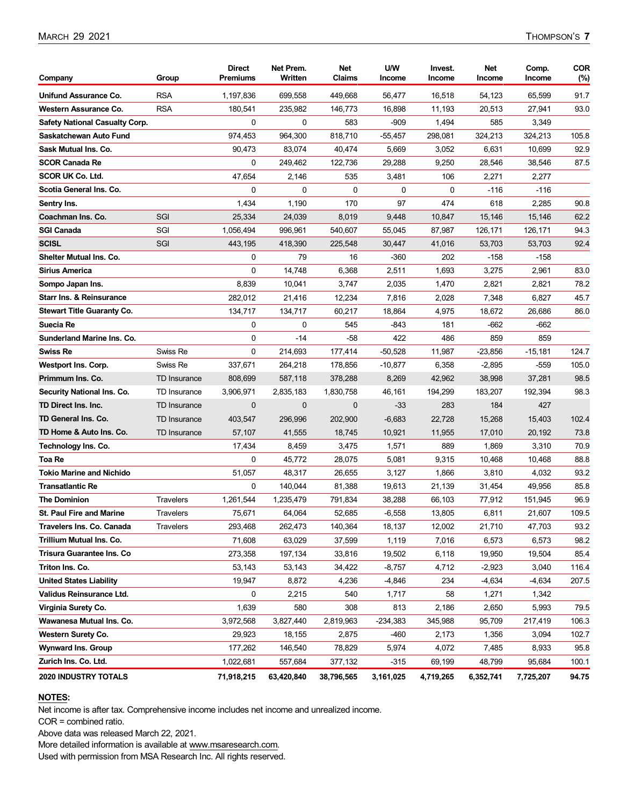| Company                               | Group               | <b>Direct</b><br><b>Premiums</b> | Net Prem.<br>Written | Net<br>Claims | U/W<br>Income | Invest.<br>Income | Net<br>Income | Comp.<br>Income | <b>COR</b><br>(%) |
|---------------------------------------|---------------------|----------------------------------|----------------------|---------------|---------------|-------------------|---------------|-----------------|-------------------|
| Unifund Assurance Co.                 | <b>RSA</b>          | 1,197,836                        | 699,558              | 449,668       | 56,477        | 16,518            | 54,123        | 65,599          | 91.7              |
| Western Assurance Co.                 | <b>RSA</b>          | 180,541                          | 235,982              | 146,773       | 16,898        | 11,193            | 20,513        | 27,941          | 93.0              |
| <b>Safety National Casualty Corp.</b> |                     | $\mathbf 0$                      | 0                    | 583           | -909          | 1,494             | 585           | 3,349           |                   |
| Saskatchewan Auto Fund                |                     | 974,453                          | 964,300              | 818,710       | -55,457       | 298,081           | 324,213       | 324,213         | 105.8             |
| Sask Mutual Ins. Co.                  |                     | 90,473                           | 83,074               | 40,474        | 5,669         | 3,052             | 6,631         | 10,699          | 92.9              |
| <b>SCOR Canada Re</b>                 |                     | $\mathbf{0}$                     | 249.462              | 122,736       | 29,288        | 9,250             | 28,546        | 38,546          | 87.5              |
| <b>SCOR UK Co. Ltd.</b>               |                     | 47,654                           | 2,146                | 535           | 3,481         | 106               | 2,271         | 2,277           |                   |
| Scotia General Ins. Co.               |                     | 0                                | 0                    | 0             | 0             | 0                 | -116          | $-116$          |                   |
| Sentry Ins.                           |                     | 1,434                            | 1,190                | 170           | 97            | 474               | 618           | 2,285           | 90.8              |
| Coachman Ins. Co.                     | SGI                 | 25,334                           | 24,039               | 8,019         | 9,448         | 10,847            | 15,146        | 15,146          | 62.2              |
| <b>SGI Canada</b>                     | SGI                 | 1,056,494                        | 996,961              | 540,607       | 55,045        | 87,987            | 126,171       | 126,171         | 94.3              |
| <b>SCISL</b>                          | SGI                 | 443,195                          | 418,390              | 225,548       | 30,447        | 41,016            | 53,703        | 53,703          | 92.4              |
| Shelter Mutual Ins. Co.               |                     | 0                                | 79                   | 16            | -360          | 202               | -158          | $-158$          |                   |
| Sirius America                        |                     | $\mathbf 0$                      | 14,748               | 6,368         | 2,511         | 1,693             | 3,275         | 2,961           | 83.0              |
| Sompo Japan Ins.                      |                     | 8,839                            | 10,041               | 3,747         | 2,035         | 1,470             | 2,821         | 2,821           | 78.2              |
| <b>Starr Ins. &amp; Reinsurance</b>   |                     | 282,012                          | 21,416               | 12,234        | 7,816         | 2,028             | 7,348         | 6,827           | 45.7              |
| <b>Stewart Title Guaranty Co.</b>     |                     | 134,717                          | 134,717              | 60,217        | 18,864        | 4,975             | 18,672        | 26,686          | 86.0              |
| Suecia Re                             |                     | 0                                | 0                    | 545           | -843          | 181               | -662          | -662            |                   |
| Sunderland Marine Ins. Co.            |                     | $\mathbf 0$                      | $-14$                | -58           | 422           | 486               | 859           | 859             |                   |
| Swiss Re                              | Swiss Re            | $\Omega$                         | 214,693              | 177,414       | -50,528       | 11,987            | -23,856       | $-15,181$       | 124.7             |
| Westport Ins. Corp.                   | Swiss Re            | 337,671                          | 264,218              | 178,856       | $-10,877$     | 6,358             | $-2,895$      | -559            | 105.0             |
| Primmum Ins. Co.                      | TD Insurance        | 808,699                          | 587,118              | 378,288       | 8,269         | 42,962            | 38,998        | 37,281          | 98.5              |
| Security National Ins. Co.            | TD Insurance        | 3,906,971                        | 2,835,183            | 1,830,758     | 46,161        | 194,299           | 183,207       | 192,394         | 98.3              |
| TD Direct Ins. Inc.                   | TD Insurance        | $\mathbf 0$                      | $\mathbf{0}$         | $\mathbf 0$   | $-33$         | 283               | 184           | 427             |                   |
| TD General Ins. Co.                   | <b>TD Insurance</b> | 403,547                          | 296,996              | 202,900       | $-6,683$      | 22,728            | 15,268        | 15,403          | 102.4             |
| TD Home & Auto Ins. Co.               | TD Insurance        | 57,107                           | 41,555               | 18,745        | 10,921        | 11,955            | 17,010        | 20,192          | 73.8              |
| Technology Ins. Co.                   |                     | 17,434                           | 8,459                | 3,475         | 1,571         | 889               | 1,869         | 3,310           | 70.9              |
| Toa Re                                |                     | 0                                | 45,772               | 28,075        | 5,081         | 9,315             | 10,468        | 10,468          | 88.8              |
| Tokio Marine and Nichido              |                     | 51,057                           | 48,317               | 26,655        | 3,127         | 1,866             | 3,810         | 4,032           | 93.2              |
| <b>Transatlantic Re</b>               |                     | 0                                | 140,044              | 81,388        | 19,613        | 21,139            | 31,454        | 49,956          | 85.8              |
| <b>The Dominion</b>                   | <b>Travelers</b>    | 1,261,544                        | 1,235,479            | 791,834       | 38,288        | 66,103            | 77,912        | 151,945         | 96.9              |
| <b>St. Paul Fire and Marine</b>       | Travelers           | 75,671                           | 64,064               | 52,685        | $-6,558$      | 13,805            | 6,811         | 21,607          | 109.5             |
| <b>Travelers Ins. Co. Canada</b>      | Travelers           | 293,468                          | 262,473              | 140,364       | 18,137        | 12,002            | 21,710        | 47,703          | 93.2              |
| Trillium Mutual Ins. Co.              |                     | 71,608                           | 63,029               | 37,599        | 1,119         | 7,016             | 6,573         | 6,573           | 98.2              |
| Trisura Guarantee Ins. Co             |                     | 273,358                          | 197,134              | 33,816        | 19,502        | 6,118             | 19,950        | 19,504          | 85.4              |
| Triton Ins. Co.                       |                     | 53,143                           | 53,143               | 34,422        | $-8,757$      | 4,712             | $-2,923$      | 3,040           | 116.4             |
| <b>United States Liability</b>        |                     | 19,947                           | 8,872                | 4,236         | $-4,846$      | 234               | $-4,634$      | $-4,634$        | 207.5             |
| Validus Reinsurance Ltd.              |                     | 0                                | 2,215                | 540           | 1,717         | 58                | 1,271         | 1,342           |                   |
| Virginia Surety Co.                   |                     | 1,639                            | 580                  | 308           | 813           | 2,186             | 2,650         | 5,993           | 79.5              |
| Wawanesa Mutual Ins. Co.              |                     | 3,972,568                        | 3,827,440            | 2,819,963     | $-234,383$    | 345,988           | 95,709        | 217,419         | 106.3             |
| <b>Western Surety Co.</b>             |                     | 29,923                           | 18,155               | 2,875         | -460          | 2,173             | 1,356         | 3,094           | 102.7             |
| <b>Wynward Ins. Group</b>             |                     | 177,262                          | 146,540              | 78,829        | 5,974         | 4,072             | 7,485         | 8,933           | 95.8              |
| Zurich Ins. Co. Ltd.                  |                     | 1,022,681                        | 557,684              | 377,132       | -315          | 69,199            | 48,799        | 95,684          | 100.1             |
| 2020 INDUSTRY TOTALS                  |                     | 71,918,215                       | 63,420,840           | 38,796,565    | 3,161,025     | 4,719,265         | 6,352,741     | 7,725,207       | 94.75             |

#### **NOTES:**

Net income is after tax. Comprehensive income includes net income and unrealized income.

COR = combined ratio.

Above data was released March 22, 2021.

More detailed information is available at www.msaresearch.com.

Used with permission from MSA Research Inc. All rights reserved.